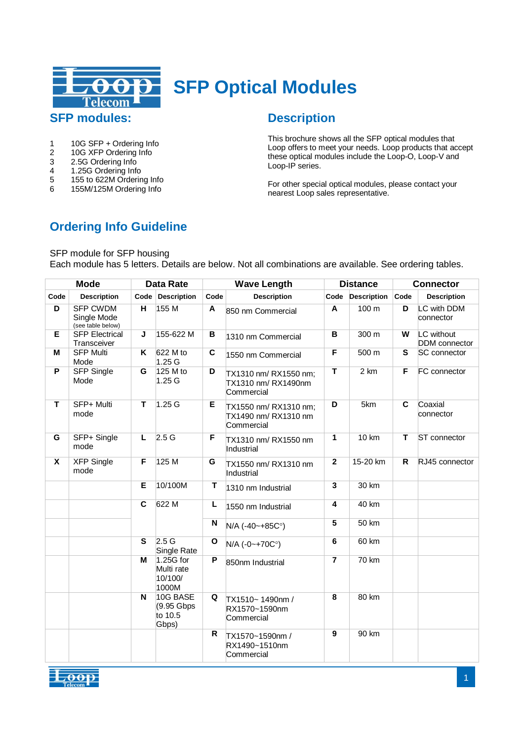

# **SFP Optical Modules**

# **SFP modules:**

- 1 10G SFP + Ordering Info<br>2 10G XFP Ordering Info
- 2 10G XFP Ordering Info<br>3 2.5G Ordering Info
- 3 2.5G Ordering Info<br>4 1.25G Ordering Info
- 4 1.25G Ordering Info<br>5 155 to 622M Orderin
- 5 155 to 622M Ordering Info
- 6 155M/125M Ordering Info

# **Description**

This brochure shows all the SFP optical modules that Loop offers to meet your needs. Loop products that accept these optical modules include the Loop-O, Loop-V and Loop-IP series.

For other special optical modules, please contact your nearest Loop sales representative.

# **Ordering Info Guideline**

SFP module for SFP housing

Each module has 5 letters. Details are below. Not all combinations are available. See ordering tables.

| <b>Mode</b>    |                                                     | <b>Data Rate</b>        |                                             |              | <b>Wave Length</b>                                          |                | <b>Distance</b>    |                         | <b>Connector</b>                   |  |
|----------------|-----------------------------------------------------|-------------------------|---------------------------------------------|--------------|-------------------------------------------------------------|----------------|--------------------|-------------------------|------------------------------------|--|
| Code           | <b>Description</b>                                  | Code                    | <b>Description</b>                          | Code         | <b>Description</b>                                          | Code           | <b>Description</b> | Code                    | <b>Description</b>                 |  |
| $\overline{D}$ | <b>SFP CWDM</b><br>Single Mode<br>(see table below) | $\overline{H}$          | 155 M                                       | A            | 850 nm Commercial                                           | A              | 100 <sub>m</sub>   | D                       | LC with DDM<br>connector           |  |
| Е              | <b>SFP Electrical</b><br>Transceiver                | J                       | 155-622 M                                   | В            | 1310 nm Commercial                                          | B              | 300 m              | W                       | LC without<br><b>DDM</b> connector |  |
| M              | <b>SFP Multi</b><br>Mode                            | Κ                       | 622 M to<br>1.25G                           | C            | 1550 nm Commercial                                          | F              | 500 m              | S                       | SC connector                       |  |
| $\overline{P}$ | <b>SFP Single</b><br>Mode                           | G                       | 125 M to<br>1.25G                           | D            | TX1310 nm/RX1550 nm;<br>TX1310 nm/ RX1490nm<br>Commercial   | T              | 2 km               | F                       | FC connector                       |  |
| т              | SFP+ Multi<br>mode                                  | т                       | 1.25G                                       | Е            | TX1550 nm/ RX1310 nm;<br>TX1490 nm/ RX1310 nm<br>Commercial | D              | 5km                | $\overline{\mathbf{c}}$ | Coaxial<br>connector               |  |
| G              | SFP+ Single<br>mode                                 | L                       | 2.5G                                        | F            | TX1310 nm/RX1550 nm<br>Industrial                           | 1              | 10 km              | T                       | ST connector                       |  |
| X              | <b>XFP Single</b><br>mode                           | F                       | 125 M                                       | G            | TX1550 nm/ RX1310 nm<br>Industrial                          | $\mathbf{2}$   | 15-20 km           | R                       | RJ45 connector                     |  |
|                |                                                     | E                       | 10/100M                                     | т            | 1310 nm Industrial                                          | 3              | 30 km              |                         |                                    |  |
|                |                                                     | $\overline{c}$          | 622 M                                       | L            | 1550 nm Industrial                                          | 4              | 40 km              |                         |                                    |  |
|                |                                                     |                         |                                             | N            | N/A (-40~+85C°)                                             | 5              | 50 km              |                         |                                    |  |
|                |                                                     | S                       | 2.5G<br>Single Rate                         | $\mathbf{o}$ | $N/A$ (-0~+70C°)                                            | 6              | 60 km              |                         |                                    |  |
|                |                                                     | M                       | 1.25G for<br>Multi rate<br>10/100/<br>1000M | P            | 850nm Industrial                                            | $\overline{7}$ | 70 km              |                         |                                    |  |
|                |                                                     | $\overline{\mathsf{N}}$ | 10G BASE<br>(9.95 Gbps<br>to 10.5<br>Gbps)  | Q            | TX1510~1490nm /<br>RX1570~1590nm<br>Commercial              | $\overline{8}$ | 80 km              |                         |                                    |  |
|                |                                                     |                         |                                             | $\mathsf{R}$ | TX1570~1590nm /<br>RX1490~1510nm<br>Commercial              | 9              | 90 km              |                         |                                    |  |

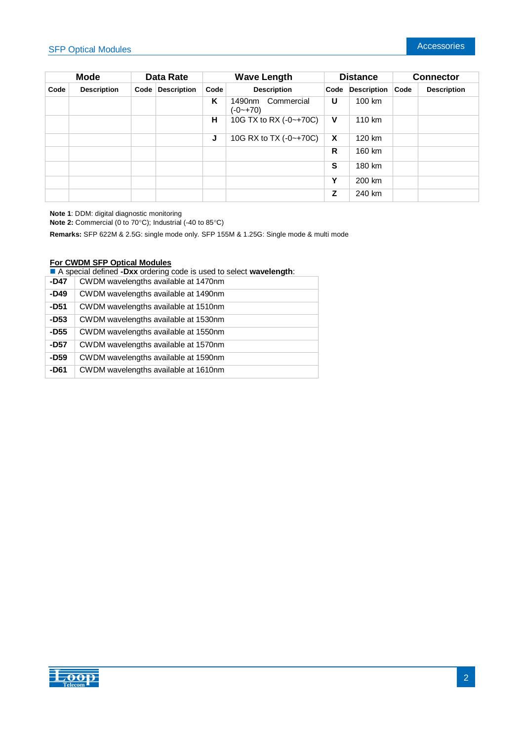| <b>Mode</b> |                    | Data Rate |                    | <b>Wave Length</b> |                                      | <b>Distance</b> |                    | <b>Connector</b> |                    |
|-------------|--------------------|-----------|--------------------|--------------------|--------------------------------------|-----------------|--------------------|------------------|--------------------|
| Code        | <b>Description</b> | Code      | <b>Description</b> | Code               | <b>Description</b>                   | Code            | <b>Description</b> | Code             | <b>Description</b> |
|             |                    |           |                    | Κ                  | Commercial<br>1490nm<br>$(-0 - +70)$ | U               | 100 km             |                  |                    |
|             |                    |           |                    | н                  | 10G TX to RX (-0~+70C)               | $\mathsf{V}$    | 110 km             |                  |                    |
|             |                    |           |                    | J                  | 10G RX to TX (-0~+70C)               | $\mathsf{x}$    | 120 km             |                  |                    |
|             |                    |           |                    |                    |                                      | R               | 160 km             |                  |                    |
|             |                    |           |                    |                    |                                      | S               | 180 km             |                  |                    |
|             |                    |           |                    |                    |                                      | Υ               | 200 km             |                  |                    |
|             |                    |           |                    |                    |                                      | z               | 240 km             |                  |                    |

**Note 1**: DDM: digital diagnostic monitoring

**Note 2:** Commercial (0 to 70°C); Industrial (-40 to 85°C)

**Remarks:** SFP 622M & 2.5G: single mode only. SFP 155M & 1.25G: Single mode & multi mode

#### **For CWDM SFP Optical Modules**

A special defined **-Dxx** ordering code is used to select **wavelength**:

| -D47   | CWDM wavelengths available at 1470nm |
|--------|--------------------------------------|
| $-D49$ | CWDM wavelengths available at 1490nm |
| -D51   | CWDM wavelengths available at 1510nm |
| $-D53$ | CWDM wavelengths available at 1530nm |
| $-D55$ | CWDM wavelengths available at 1550nm |
| -D57   | CWDM wavelengths available at 1570nm |
| $-D59$ | CWDM wavelengths available at 1590nm |
| -D61   | CWDM wavelengths available at 1610nm |

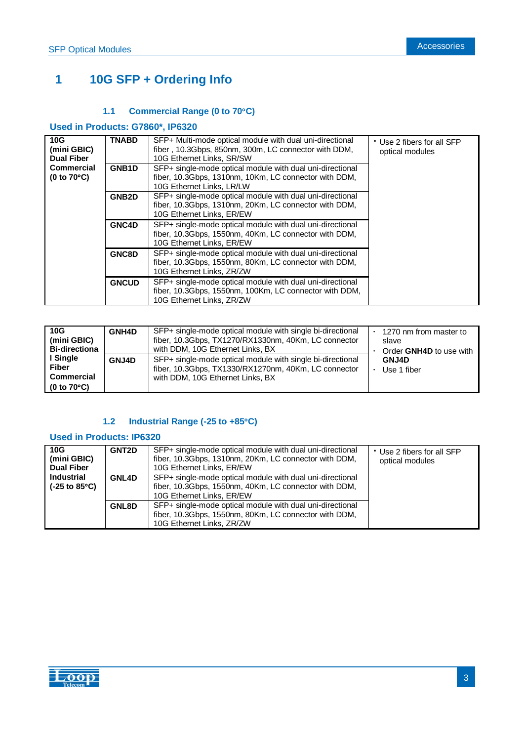# **1 10G SFP + Ordering Info**

### **1.1 Commercial Range (0 to 70C)**

## **Used in Products: G7860\*, IP6320**

| 10G<br>(mini GBIC)<br><b>Dual Fiber</b>   | <b>TNABD</b>       | SFP+ Multi-mode optical module with dual uni-directional<br>fiber, 10.3Gbps, 850nm, 300m, LC connector with DDM,<br>10G Ethernet Links, SR/SW    | * Use 2 fibers for all SFP<br>optical modules |
|-------------------------------------------|--------------------|--------------------------------------------------------------------------------------------------------------------------------------------------|-----------------------------------------------|
| <b>Commercial</b><br>$(0 to 70^{\circ}C)$ | GNB <sub>1</sub> D | SFP+ single-mode optical module with dual uni-directional<br>fiber, 10.3Gbps, 1310nm, 10Km, LC connector with DDM,<br>10G Ethernet Links, LR/LW  |                                               |
|                                           | GNB <sub>2</sub> D | SFP+ single-mode optical module with dual uni-directional<br>fiber, 10.3Gbps, 1310nm, 20Km, LC connector with DDM,<br>10G Ethernet Links, ER/EW  |                                               |
|                                           | GNC4D              | SFP+ single-mode optical module with dual uni-directional<br>fiber, 10.3Gbps, 1550nm, 40Km, LC connector with DDM,<br>10G Ethernet Links, ER/EW  |                                               |
|                                           | GNC8D              | SFP+ single-mode optical module with dual uni-directional<br>fiber, 10.3Gbps, 1550nm, 80Km, LC connector with DDM,<br>10G Ethernet Links, ZR/ZW  |                                               |
|                                           | <b>GNCUD</b>       | SFP+ single-mode optical module with dual uni-directional<br>fiber, 10.3Gbps, 1550nm, 100Km, LC connector with DDM,<br>10G Ethernet Links, ZR/ZW |                                               |

| 10G<br>(mini GBIC)<br><b>Bi-directiona</b><br>I Single<br><b>Fiber</b><br><b>Commercial</b><br>(0 to $70^{\circ}$ C) | <b>GNH4D</b> | SFP+ single-mode optical module with single bi-directional<br>fiber, 10.3Gbps, TX1270/RX1330nm, 40Km, LC connector<br>with DDM, 10G Ethernet Links, BX | 1270 nm from master to<br>slave<br>Order GNH4D to use with |
|----------------------------------------------------------------------------------------------------------------------|--------------|--------------------------------------------------------------------------------------------------------------------------------------------------------|------------------------------------------------------------|
|                                                                                                                      | GNJ4D        | SFP+ single-mode optical module with single bi-directional<br>fiber, 10.3Gbps, TX1330/RX1270nm, 40Km, LC connector<br>with DDM, 10G Ethernet Links, BX | <b>GNJ4D</b><br>Use 1 fiber                                |

# **1.2 Industrial Range (-25 to +85C)**

### **Used in Products: IP6320**

| 10G<br>(mini GBIC)<br><b>Dual Fiber</b>                     | <b>GNT2D</b> | SFP+ single-mode optical module with dual uni-directional<br>fiber, 10.3Gbps, 1310nm, 20Km, LC connector with DDM,<br>10G Ethernet Links, ER/EW | * Use 2 fibers for all SFP<br>optical modules |
|-------------------------------------------------------------|--------------|-------------------------------------------------------------------------------------------------------------------------------------------------|-----------------------------------------------|
| <b>Industrial</b><br>$(-25 \text{ to } 85^{\circ}\text{C})$ | GNL4D        | SFP+ single-mode optical module with dual uni-directional<br>fiber, 10.3Gbps, 1550nm, 40Km, LC connector with DDM,<br>10G Ethernet Links, ER/EW |                                               |
|                                                             | GNL8D        | SFP+ single-mode optical module with dual uni-directional<br>fiber, 10.3Gbps, 1550nm, 80Km, LC connector with DDM,<br>10G Ethernet Links, ZR/ZW |                                               |

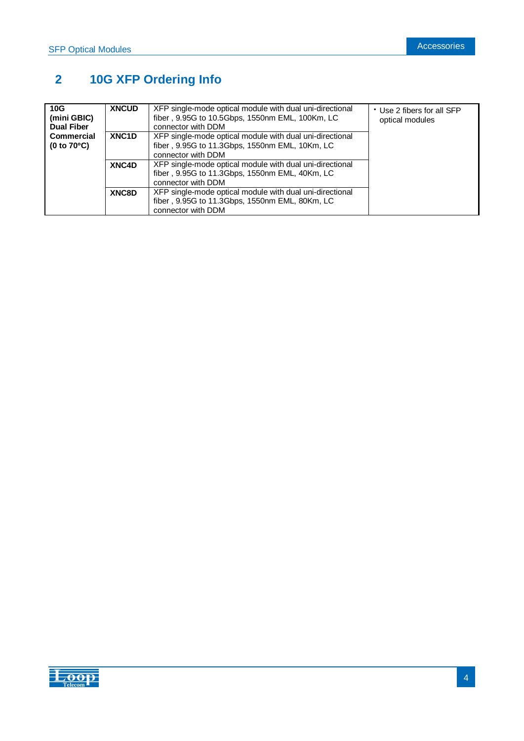# **2 10G XFP Ordering Info**

| 10G<br>(mini GBIC)<br><b>Dual Fiber</b>   | <b>XNCUD</b>       | XFP single-mode optical module with dual uni-directional<br>fiber, 9.95G to 10.5Gbps, 1550nm EML, 100Km, LC<br>connector with DDM | * Use 2 fibers for all SFP<br>optical modules |
|-------------------------------------------|--------------------|-----------------------------------------------------------------------------------------------------------------------------------|-----------------------------------------------|
| <b>Commercial</b><br>$(0 to 70^{\circ}C)$ | XNC <sub>1</sub> D | XFP single-mode optical module with dual uni-directional<br>fiber, 9.95G to 11.3Gbps, 1550nm EML, 10Km, LC<br>connector with DDM  |                                               |
|                                           | XNC4D              | XFP single-mode optical module with dual uni-directional<br>fiber, 9.95G to 11.3Gbps, 1550nm EML, 40Km, LC<br>connector with DDM  |                                               |
|                                           | XNC8D              | XFP single-mode optical module with dual uni-directional<br>fiber, 9.95G to 11.3Gbps, 1550nm EML, 80Km, LC<br>connector with DDM  |                                               |

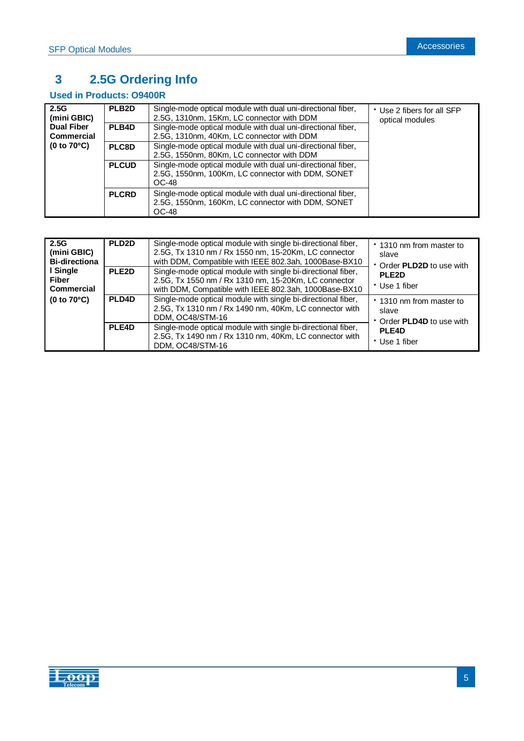# **3 2.5G Ordering Info**

# **Used in Products: O9400R**

| 2.5G<br>(mini GBIC)<br><b>Dual Fiber</b><br>Commercial | PLB <sub>2</sub> D | Single-mode optical module with dual uni-directional fiber,<br>2.5G, 1310nm, 15Km, LC connector with DDM                  | * Use 2 fibers for all SFP<br>optical modules |
|--------------------------------------------------------|--------------------|---------------------------------------------------------------------------------------------------------------------------|-----------------------------------------------|
|                                                        | PLB4D              | Single-mode optical module with dual uni-directional fiber,<br>2.5G, 1310nm, 40Km, LC connector with DDM                  |                                               |
| $(0 to 70^{\circ}C)$                                   | PLC8D              | Single-mode optical module with dual uni-directional fiber,<br>2.5G, 1550nm, 80Km, LC connector with DDM                  |                                               |
|                                                        | <b>PLCUD</b>       | Single-mode optical module with dual uni-directional fiber,<br>2.5G, 1550nm, 100Km, LC connector with DDM, SONET<br>OC-48 |                                               |
|                                                        | <b>PLCRD</b>       | Single-mode optical module with dual uni-directional fiber,<br>2.5G, 1550nm, 160Km, LC connector with DDM, SONET<br>OC-48 |                                               |

| 2.5G<br>(mini GBIC)<br><b>Bi-directiona</b><br>l Single<br><b>Fiber</b><br><b>Commercial</b> | PLD <sub>2D</sub><br>PLE <sub>2D</sub> | Single-mode optical module with single bi-directional fiber,<br>2.5G, Tx 1310 nm / Rx 1550 nm, 15-20Km, LC connector<br>with DDM, Compatible with IEEE 802.3ah, 1000Base-BX10<br>Single-mode optical module with single bi-directional fiber,<br>2.5G, Tx 1550 nm / Rx 1310 nm, 15-20Km, LC connector<br>with DDM, Compatible with IEEE 802.3ah, 1000Base-BX10 | 1310 nm from master to<br>slave<br>Order PLD2D to use with<br>PLE <sub>2D</sub><br>* Use 1 fiber |
|----------------------------------------------------------------------------------------------|----------------------------------------|----------------------------------------------------------------------------------------------------------------------------------------------------------------------------------------------------------------------------------------------------------------------------------------------------------------------------------------------------------------|--------------------------------------------------------------------------------------------------|
| $(0 to 70^{\circ}C)$                                                                         | PLD4D<br>PLE4D                         | Single-mode optical module with single bi-directional fiber,<br>2.5G, Tx 1310 nm / Rx 1490 nm, 40Km, LC connector with<br>DDM. OC48/STM-16<br>Single-mode optical module with single bi-directional fiber,<br>2.5G, Tx 1490 nm / Rx 1310 nm, 40Km, LC connector with<br>DDM, OC48/STM-16                                                                       | * 1310 nm from master to<br>slave<br>• Order <b>PLD4D</b> to use with<br>PLE4D<br>• Use 1 fiber  |

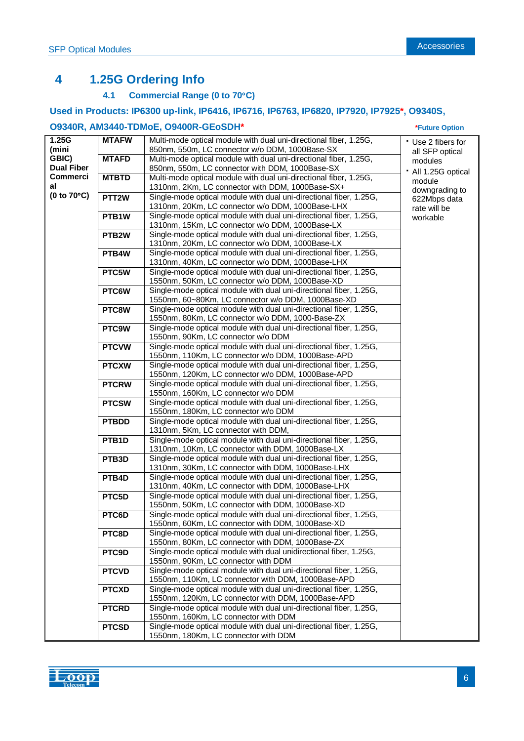# **4 1.25G Ordering Info**

# **4.1 Commercial Range (0 to 70C)**

## **Used in Products: IP6300 up-link, IP6416, IP6716, IP6763, IP6820, IP7920, IP7925\*, O9340S,**

### **O9340R, AM3440-TDMoE, O9400R-GEoSDH\* \*Future Option**

| (mini<br>850nm, 550m, LC connector w/o DDM, 1000Base-SX<br>all SFP optical<br>GBIC)<br><b>MTAFD</b><br>Multi-mode optical module with dual uni-directional fiber, 1.25G,<br>modules<br><b>Dual Fiber</b><br>850nm, 550m, LC connector with DDM, 1000Base-SX<br>· All 1.25G optical<br><b>Commerci</b><br><b>MTBTD</b><br>Multi-mode optical module with dual uni-directional fiber, 1.25G,<br>module<br>al<br>1310nm, 2Km, LC connector with DDM, 1000Base-SX+<br>downgrading to<br>(0 to $70^{\circ}$ C)<br>PTT <sub>2</sub> W<br>Single-mode optical module with dual uni-directional fiber, 1.25G,<br>622Mbps data<br>1310nm, 20Km, LC connector w/o DDM, 1000Base-LHX<br>rate will be<br>Single-mode optical module with dual uni-directional fiber, 1.25G,<br>PTB <sub>1</sub> W<br>workable<br>1310nm, 15Km, LC connector w/o DDM, 1000Base-LX<br>Single-mode optical module with dual uni-directional fiber, 1.25G,<br>PTB <sub>2</sub> W<br>1310nm, 20Km, LC connector w/o DDM, 1000Base-LX<br>Single-mode optical module with dual uni-directional fiber, 1.25G,<br>PTB4W<br>1310nm, 40Km, LC connector w/o DDM, 1000Base-LHX<br>Single-mode optical module with dual uni-directional fiber, 1.25G,<br>PTC5W<br>1550nm, 50Km, LC connector w/o DDM, 1000Base-XD<br>Single-mode optical module with dual uni-directional fiber, 1.25G,<br>PTC6W<br>1550nm, 60~80Km, LC connector w/o DDM, 1000Base-XD<br>Single-mode optical module with dual uni-directional fiber, 1.25G,<br>PTC8W<br>1550nm, 80Km, LC connector w/o DDM, 1000-Base-ZX<br>Single-mode optical module with dual uni-directional fiber, 1.25G,<br>PTC9W<br>1550nm, 90Km, LC connector w/o DDM<br>Single-mode optical module with dual uni-directional fiber, 1.25G,<br><b>PTCVW</b><br>1550nm, 110Km, LC connector w/o DDM, 1000Base-APD<br>Single-mode optical module with dual uni-directional fiber, 1.25G,<br><b>PTCXW</b><br>1550nm, 120Km, LC connector w/o DDM, 1000Base-APD<br>Single-mode optical module with dual uni-directional fiber, 1.25G,<br><b>PTCRW</b><br>1550nm, 160Km, LC connector w/o DDM<br>Single-mode optical module with dual uni-directional fiber, 1.25G,<br><b>PTCSW</b><br>1550nm, 180Km, LC connector w/o DDM<br>Single-mode optical module with dual uni-directional fiber, 1.25G,<br><b>PTBDD</b><br>1310nm, 5Km, LC connector with DDM,<br>Single-mode optical module with dual uni-directional fiber, 1.25G,<br>PTB <sub>1</sub> D<br>1310nm, 10Km, LC connector with DDM, 1000Base-LX<br>Single-mode optical module with dual uni-directional fiber, 1.25G,<br>PTB3D<br>1310nm, 30Km, LC connector with DDM, 1000Base-LHX<br>Single-mode optical module with dual uni-directional fiber, 1.25G,<br>PTB4D<br>1310nm, 40Km, LC connector with DDM, 1000Base-LHX<br>Single-mode optical module with dual uni-directional fiber, 1.25G,<br>PTC5D<br>1550nm, 50Km, LC connector with DDM, 1000Base-XD<br>Single-mode optical module with dual uni-directional fiber, 1.25G,<br>PTC6D<br>1550nm, 60Km, LC connector with DDM, 1000Base-XD<br>PTC8D<br>Single-mode optical module with dual uni-directional fiber, 1.25G,<br>1550nm, 80Km, LC connector with DDM, 1000Base-ZX<br>Single-mode optical module with dual unidirectional fiber, 1.25G,<br>PTC9D<br>1550nm, 90Km, LC connector with DDM<br>Single-mode optical module with dual uni-directional fiber, 1.25G,<br><b>PTCVD</b><br>1550nm, 110Km, LC connector with DDM, 1000Base-APD<br>Single-mode optical module with dual uni-directional fiber, 1.25G,<br><b>PTCXD</b><br>1550nm, 120Km, LC connector with DDM, 1000Base-APD<br>Single-mode optical module with dual uni-directional fiber, 1.25G,<br><b>PTCRD</b><br>1550nm, 160Km, LC connector with DDM<br>Single-mode optical module with dual uni-directional fiber, 1.25G,<br><b>PTCSD</b><br>1550nm, 180Km, LC connector with DDM | 1.25G | <b>MTAFW</b> | Multi-mode optical module with dual uni-directional fiber, 1.25G, | • Use 2 fibers for |
|--------------------------------------------------------------------------------------------------------------------------------------------------------------------------------------------------------------------------------------------------------------------------------------------------------------------------------------------------------------------------------------------------------------------------------------------------------------------------------------------------------------------------------------------------------------------------------------------------------------------------------------------------------------------------------------------------------------------------------------------------------------------------------------------------------------------------------------------------------------------------------------------------------------------------------------------------------------------------------------------------------------------------------------------------------------------------------------------------------------------------------------------------------------------------------------------------------------------------------------------------------------------------------------------------------------------------------------------------------------------------------------------------------------------------------------------------------------------------------------------------------------------------------------------------------------------------------------------------------------------------------------------------------------------------------------------------------------------------------------------------------------------------------------------------------------------------------------------------------------------------------------------------------------------------------------------------------------------------------------------------------------------------------------------------------------------------------------------------------------------------------------------------------------------------------------------------------------------------------------------------------------------------------------------------------------------------------------------------------------------------------------------------------------------------------------------------------------------------------------------------------------------------------------------------------------------------------------------------------------------------------------------------------------------------------------------------------------------------------------------------------------------------------------------------------------------------------------------------------------------------------------------------------------------------------------------------------------------------------------------------------------------------------------------------------------------------------------------------------------------------------------------------------------------------------------------------------------------------------------------------------------------------------------------------------------------------------------------------------------------------------------------------------------------------------------------------------------------------------------------------------------------------------------------------------------------------------------------------------------------------------------------------------------------------------------------------------------------------------------------------------------------------------------------------------------------------------------------------------------|-------|--------------|-------------------------------------------------------------------|--------------------|
|                                                                                                                                                                                                                                                                                                                                                                                                                                                                                                                                                                                                                                                                                                                                                                                                                                                                                                                                                                                                                                                                                                                                                                                                                                                                                                                                                                                                                                                                                                                                                                                                                                                                                                                                                                                                                                                                                                                                                                                                                                                                                                                                                                                                                                                                                                                                                                                                                                                                                                                                                                                                                                                                                                                                                                                                                                                                                                                                                                                                                                                                                                                                                                                                                                                                                                                                                                                                                                                                                                                                                                                                                                                                                                                                                                                                                                                              |       |              |                                                                   |                    |
|                                                                                                                                                                                                                                                                                                                                                                                                                                                                                                                                                                                                                                                                                                                                                                                                                                                                                                                                                                                                                                                                                                                                                                                                                                                                                                                                                                                                                                                                                                                                                                                                                                                                                                                                                                                                                                                                                                                                                                                                                                                                                                                                                                                                                                                                                                                                                                                                                                                                                                                                                                                                                                                                                                                                                                                                                                                                                                                                                                                                                                                                                                                                                                                                                                                                                                                                                                                                                                                                                                                                                                                                                                                                                                                                                                                                                                                              |       |              |                                                                   |                    |
|                                                                                                                                                                                                                                                                                                                                                                                                                                                                                                                                                                                                                                                                                                                                                                                                                                                                                                                                                                                                                                                                                                                                                                                                                                                                                                                                                                                                                                                                                                                                                                                                                                                                                                                                                                                                                                                                                                                                                                                                                                                                                                                                                                                                                                                                                                                                                                                                                                                                                                                                                                                                                                                                                                                                                                                                                                                                                                                                                                                                                                                                                                                                                                                                                                                                                                                                                                                                                                                                                                                                                                                                                                                                                                                                                                                                                                                              |       |              |                                                                   |                    |
|                                                                                                                                                                                                                                                                                                                                                                                                                                                                                                                                                                                                                                                                                                                                                                                                                                                                                                                                                                                                                                                                                                                                                                                                                                                                                                                                                                                                                                                                                                                                                                                                                                                                                                                                                                                                                                                                                                                                                                                                                                                                                                                                                                                                                                                                                                                                                                                                                                                                                                                                                                                                                                                                                                                                                                                                                                                                                                                                                                                                                                                                                                                                                                                                                                                                                                                                                                                                                                                                                                                                                                                                                                                                                                                                                                                                                                                              |       |              |                                                                   |                    |
|                                                                                                                                                                                                                                                                                                                                                                                                                                                                                                                                                                                                                                                                                                                                                                                                                                                                                                                                                                                                                                                                                                                                                                                                                                                                                                                                                                                                                                                                                                                                                                                                                                                                                                                                                                                                                                                                                                                                                                                                                                                                                                                                                                                                                                                                                                                                                                                                                                                                                                                                                                                                                                                                                                                                                                                                                                                                                                                                                                                                                                                                                                                                                                                                                                                                                                                                                                                                                                                                                                                                                                                                                                                                                                                                                                                                                                                              |       |              |                                                                   |                    |
|                                                                                                                                                                                                                                                                                                                                                                                                                                                                                                                                                                                                                                                                                                                                                                                                                                                                                                                                                                                                                                                                                                                                                                                                                                                                                                                                                                                                                                                                                                                                                                                                                                                                                                                                                                                                                                                                                                                                                                                                                                                                                                                                                                                                                                                                                                                                                                                                                                                                                                                                                                                                                                                                                                                                                                                                                                                                                                                                                                                                                                                                                                                                                                                                                                                                                                                                                                                                                                                                                                                                                                                                                                                                                                                                                                                                                                                              |       |              |                                                                   |                    |
|                                                                                                                                                                                                                                                                                                                                                                                                                                                                                                                                                                                                                                                                                                                                                                                                                                                                                                                                                                                                                                                                                                                                                                                                                                                                                                                                                                                                                                                                                                                                                                                                                                                                                                                                                                                                                                                                                                                                                                                                                                                                                                                                                                                                                                                                                                                                                                                                                                                                                                                                                                                                                                                                                                                                                                                                                                                                                                                                                                                                                                                                                                                                                                                                                                                                                                                                                                                                                                                                                                                                                                                                                                                                                                                                                                                                                                                              |       |              |                                                                   |                    |
|                                                                                                                                                                                                                                                                                                                                                                                                                                                                                                                                                                                                                                                                                                                                                                                                                                                                                                                                                                                                                                                                                                                                                                                                                                                                                                                                                                                                                                                                                                                                                                                                                                                                                                                                                                                                                                                                                                                                                                                                                                                                                                                                                                                                                                                                                                                                                                                                                                                                                                                                                                                                                                                                                                                                                                                                                                                                                                                                                                                                                                                                                                                                                                                                                                                                                                                                                                                                                                                                                                                                                                                                                                                                                                                                                                                                                                                              |       |              |                                                                   |                    |
|                                                                                                                                                                                                                                                                                                                                                                                                                                                                                                                                                                                                                                                                                                                                                                                                                                                                                                                                                                                                                                                                                                                                                                                                                                                                                                                                                                                                                                                                                                                                                                                                                                                                                                                                                                                                                                                                                                                                                                                                                                                                                                                                                                                                                                                                                                                                                                                                                                                                                                                                                                                                                                                                                                                                                                                                                                                                                                                                                                                                                                                                                                                                                                                                                                                                                                                                                                                                                                                                                                                                                                                                                                                                                                                                                                                                                                                              |       |              |                                                                   |                    |
|                                                                                                                                                                                                                                                                                                                                                                                                                                                                                                                                                                                                                                                                                                                                                                                                                                                                                                                                                                                                                                                                                                                                                                                                                                                                                                                                                                                                                                                                                                                                                                                                                                                                                                                                                                                                                                                                                                                                                                                                                                                                                                                                                                                                                                                                                                                                                                                                                                                                                                                                                                                                                                                                                                                                                                                                                                                                                                                                                                                                                                                                                                                                                                                                                                                                                                                                                                                                                                                                                                                                                                                                                                                                                                                                                                                                                                                              |       |              |                                                                   |                    |
|                                                                                                                                                                                                                                                                                                                                                                                                                                                                                                                                                                                                                                                                                                                                                                                                                                                                                                                                                                                                                                                                                                                                                                                                                                                                                                                                                                                                                                                                                                                                                                                                                                                                                                                                                                                                                                                                                                                                                                                                                                                                                                                                                                                                                                                                                                                                                                                                                                                                                                                                                                                                                                                                                                                                                                                                                                                                                                                                                                                                                                                                                                                                                                                                                                                                                                                                                                                                                                                                                                                                                                                                                                                                                                                                                                                                                                                              |       |              |                                                                   |                    |
|                                                                                                                                                                                                                                                                                                                                                                                                                                                                                                                                                                                                                                                                                                                                                                                                                                                                                                                                                                                                                                                                                                                                                                                                                                                                                                                                                                                                                                                                                                                                                                                                                                                                                                                                                                                                                                                                                                                                                                                                                                                                                                                                                                                                                                                                                                                                                                                                                                                                                                                                                                                                                                                                                                                                                                                                                                                                                                                                                                                                                                                                                                                                                                                                                                                                                                                                                                                                                                                                                                                                                                                                                                                                                                                                                                                                                                                              |       |              |                                                                   |                    |
|                                                                                                                                                                                                                                                                                                                                                                                                                                                                                                                                                                                                                                                                                                                                                                                                                                                                                                                                                                                                                                                                                                                                                                                                                                                                                                                                                                                                                                                                                                                                                                                                                                                                                                                                                                                                                                                                                                                                                                                                                                                                                                                                                                                                                                                                                                                                                                                                                                                                                                                                                                                                                                                                                                                                                                                                                                                                                                                                                                                                                                                                                                                                                                                                                                                                                                                                                                                                                                                                                                                                                                                                                                                                                                                                                                                                                                                              |       |              |                                                                   |                    |
|                                                                                                                                                                                                                                                                                                                                                                                                                                                                                                                                                                                                                                                                                                                                                                                                                                                                                                                                                                                                                                                                                                                                                                                                                                                                                                                                                                                                                                                                                                                                                                                                                                                                                                                                                                                                                                                                                                                                                                                                                                                                                                                                                                                                                                                                                                                                                                                                                                                                                                                                                                                                                                                                                                                                                                                                                                                                                                                                                                                                                                                                                                                                                                                                                                                                                                                                                                                                                                                                                                                                                                                                                                                                                                                                                                                                                                                              |       |              |                                                                   |                    |
|                                                                                                                                                                                                                                                                                                                                                                                                                                                                                                                                                                                                                                                                                                                                                                                                                                                                                                                                                                                                                                                                                                                                                                                                                                                                                                                                                                                                                                                                                                                                                                                                                                                                                                                                                                                                                                                                                                                                                                                                                                                                                                                                                                                                                                                                                                                                                                                                                                                                                                                                                                                                                                                                                                                                                                                                                                                                                                                                                                                                                                                                                                                                                                                                                                                                                                                                                                                                                                                                                                                                                                                                                                                                                                                                                                                                                                                              |       |              |                                                                   |                    |
|                                                                                                                                                                                                                                                                                                                                                                                                                                                                                                                                                                                                                                                                                                                                                                                                                                                                                                                                                                                                                                                                                                                                                                                                                                                                                                                                                                                                                                                                                                                                                                                                                                                                                                                                                                                                                                                                                                                                                                                                                                                                                                                                                                                                                                                                                                                                                                                                                                                                                                                                                                                                                                                                                                                                                                                                                                                                                                                                                                                                                                                                                                                                                                                                                                                                                                                                                                                                                                                                                                                                                                                                                                                                                                                                                                                                                                                              |       |              |                                                                   |                    |
|                                                                                                                                                                                                                                                                                                                                                                                                                                                                                                                                                                                                                                                                                                                                                                                                                                                                                                                                                                                                                                                                                                                                                                                                                                                                                                                                                                                                                                                                                                                                                                                                                                                                                                                                                                                                                                                                                                                                                                                                                                                                                                                                                                                                                                                                                                                                                                                                                                                                                                                                                                                                                                                                                                                                                                                                                                                                                                                                                                                                                                                                                                                                                                                                                                                                                                                                                                                                                                                                                                                                                                                                                                                                                                                                                                                                                                                              |       |              |                                                                   |                    |
|                                                                                                                                                                                                                                                                                                                                                                                                                                                                                                                                                                                                                                                                                                                                                                                                                                                                                                                                                                                                                                                                                                                                                                                                                                                                                                                                                                                                                                                                                                                                                                                                                                                                                                                                                                                                                                                                                                                                                                                                                                                                                                                                                                                                                                                                                                                                                                                                                                                                                                                                                                                                                                                                                                                                                                                                                                                                                                                                                                                                                                                                                                                                                                                                                                                                                                                                                                                                                                                                                                                                                                                                                                                                                                                                                                                                                                                              |       |              |                                                                   |                    |
|                                                                                                                                                                                                                                                                                                                                                                                                                                                                                                                                                                                                                                                                                                                                                                                                                                                                                                                                                                                                                                                                                                                                                                                                                                                                                                                                                                                                                                                                                                                                                                                                                                                                                                                                                                                                                                                                                                                                                                                                                                                                                                                                                                                                                                                                                                                                                                                                                                                                                                                                                                                                                                                                                                                                                                                                                                                                                                                                                                                                                                                                                                                                                                                                                                                                                                                                                                                                                                                                                                                                                                                                                                                                                                                                                                                                                                                              |       |              |                                                                   |                    |
|                                                                                                                                                                                                                                                                                                                                                                                                                                                                                                                                                                                                                                                                                                                                                                                                                                                                                                                                                                                                                                                                                                                                                                                                                                                                                                                                                                                                                                                                                                                                                                                                                                                                                                                                                                                                                                                                                                                                                                                                                                                                                                                                                                                                                                                                                                                                                                                                                                                                                                                                                                                                                                                                                                                                                                                                                                                                                                                                                                                                                                                                                                                                                                                                                                                                                                                                                                                                                                                                                                                                                                                                                                                                                                                                                                                                                                                              |       |              |                                                                   |                    |
|                                                                                                                                                                                                                                                                                                                                                                                                                                                                                                                                                                                                                                                                                                                                                                                                                                                                                                                                                                                                                                                                                                                                                                                                                                                                                                                                                                                                                                                                                                                                                                                                                                                                                                                                                                                                                                                                                                                                                                                                                                                                                                                                                                                                                                                                                                                                                                                                                                                                                                                                                                                                                                                                                                                                                                                                                                                                                                                                                                                                                                                                                                                                                                                                                                                                                                                                                                                                                                                                                                                                                                                                                                                                                                                                                                                                                                                              |       |              |                                                                   |                    |
|                                                                                                                                                                                                                                                                                                                                                                                                                                                                                                                                                                                                                                                                                                                                                                                                                                                                                                                                                                                                                                                                                                                                                                                                                                                                                                                                                                                                                                                                                                                                                                                                                                                                                                                                                                                                                                                                                                                                                                                                                                                                                                                                                                                                                                                                                                                                                                                                                                                                                                                                                                                                                                                                                                                                                                                                                                                                                                                                                                                                                                                                                                                                                                                                                                                                                                                                                                                                                                                                                                                                                                                                                                                                                                                                                                                                                                                              |       |              |                                                                   |                    |
|                                                                                                                                                                                                                                                                                                                                                                                                                                                                                                                                                                                                                                                                                                                                                                                                                                                                                                                                                                                                                                                                                                                                                                                                                                                                                                                                                                                                                                                                                                                                                                                                                                                                                                                                                                                                                                                                                                                                                                                                                                                                                                                                                                                                                                                                                                                                                                                                                                                                                                                                                                                                                                                                                                                                                                                                                                                                                                                                                                                                                                                                                                                                                                                                                                                                                                                                                                                                                                                                                                                                                                                                                                                                                                                                                                                                                                                              |       |              |                                                                   |                    |
|                                                                                                                                                                                                                                                                                                                                                                                                                                                                                                                                                                                                                                                                                                                                                                                                                                                                                                                                                                                                                                                                                                                                                                                                                                                                                                                                                                                                                                                                                                                                                                                                                                                                                                                                                                                                                                                                                                                                                                                                                                                                                                                                                                                                                                                                                                                                                                                                                                                                                                                                                                                                                                                                                                                                                                                                                                                                                                                                                                                                                                                                                                                                                                                                                                                                                                                                                                                                                                                                                                                                                                                                                                                                                                                                                                                                                                                              |       |              |                                                                   |                    |
|                                                                                                                                                                                                                                                                                                                                                                                                                                                                                                                                                                                                                                                                                                                                                                                                                                                                                                                                                                                                                                                                                                                                                                                                                                                                                                                                                                                                                                                                                                                                                                                                                                                                                                                                                                                                                                                                                                                                                                                                                                                                                                                                                                                                                                                                                                                                                                                                                                                                                                                                                                                                                                                                                                                                                                                                                                                                                                                                                                                                                                                                                                                                                                                                                                                                                                                                                                                                                                                                                                                                                                                                                                                                                                                                                                                                                                                              |       |              |                                                                   |                    |
|                                                                                                                                                                                                                                                                                                                                                                                                                                                                                                                                                                                                                                                                                                                                                                                                                                                                                                                                                                                                                                                                                                                                                                                                                                                                                                                                                                                                                                                                                                                                                                                                                                                                                                                                                                                                                                                                                                                                                                                                                                                                                                                                                                                                                                                                                                                                                                                                                                                                                                                                                                                                                                                                                                                                                                                                                                                                                                                                                                                                                                                                                                                                                                                                                                                                                                                                                                                                                                                                                                                                                                                                                                                                                                                                                                                                                                                              |       |              |                                                                   |                    |
|                                                                                                                                                                                                                                                                                                                                                                                                                                                                                                                                                                                                                                                                                                                                                                                                                                                                                                                                                                                                                                                                                                                                                                                                                                                                                                                                                                                                                                                                                                                                                                                                                                                                                                                                                                                                                                                                                                                                                                                                                                                                                                                                                                                                                                                                                                                                                                                                                                                                                                                                                                                                                                                                                                                                                                                                                                                                                                                                                                                                                                                                                                                                                                                                                                                                                                                                                                                                                                                                                                                                                                                                                                                                                                                                                                                                                                                              |       |              |                                                                   |                    |
|                                                                                                                                                                                                                                                                                                                                                                                                                                                                                                                                                                                                                                                                                                                                                                                                                                                                                                                                                                                                                                                                                                                                                                                                                                                                                                                                                                                                                                                                                                                                                                                                                                                                                                                                                                                                                                                                                                                                                                                                                                                                                                                                                                                                                                                                                                                                                                                                                                                                                                                                                                                                                                                                                                                                                                                                                                                                                                                                                                                                                                                                                                                                                                                                                                                                                                                                                                                                                                                                                                                                                                                                                                                                                                                                                                                                                                                              |       |              |                                                                   |                    |
|                                                                                                                                                                                                                                                                                                                                                                                                                                                                                                                                                                                                                                                                                                                                                                                                                                                                                                                                                                                                                                                                                                                                                                                                                                                                                                                                                                                                                                                                                                                                                                                                                                                                                                                                                                                                                                                                                                                                                                                                                                                                                                                                                                                                                                                                                                                                                                                                                                                                                                                                                                                                                                                                                                                                                                                                                                                                                                                                                                                                                                                                                                                                                                                                                                                                                                                                                                                                                                                                                                                                                                                                                                                                                                                                                                                                                                                              |       |              |                                                                   |                    |
|                                                                                                                                                                                                                                                                                                                                                                                                                                                                                                                                                                                                                                                                                                                                                                                                                                                                                                                                                                                                                                                                                                                                                                                                                                                                                                                                                                                                                                                                                                                                                                                                                                                                                                                                                                                                                                                                                                                                                                                                                                                                                                                                                                                                                                                                                                                                                                                                                                                                                                                                                                                                                                                                                                                                                                                                                                                                                                                                                                                                                                                                                                                                                                                                                                                                                                                                                                                                                                                                                                                                                                                                                                                                                                                                                                                                                                                              |       |              |                                                                   |                    |
|                                                                                                                                                                                                                                                                                                                                                                                                                                                                                                                                                                                                                                                                                                                                                                                                                                                                                                                                                                                                                                                                                                                                                                                                                                                                                                                                                                                                                                                                                                                                                                                                                                                                                                                                                                                                                                                                                                                                                                                                                                                                                                                                                                                                                                                                                                                                                                                                                                                                                                                                                                                                                                                                                                                                                                                                                                                                                                                                                                                                                                                                                                                                                                                                                                                                                                                                                                                                                                                                                                                                                                                                                                                                                                                                                                                                                                                              |       |              |                                                                   |                    |
|                                                                                                                                                                                                                                                                                                                                                                                                                                                                                                                                                                                                                                                                                                                                                                                                                                                                                                                                                                                                                                                                                                                                                                                                                                                                                                                                                                                                                                                                                                                                                                                                                                                                                                                                                                                                                                                                                                                                                                                                                                                                                                                                                                                                                                                                                                                                                                                                                                                                                                                                                                                                                                                                                                                                                                                                                                                                                                                                                                                                                                                                                                                                                                                                                                                                                                                                                                                                                                                                                                                                                                                                                                                                                                                                                                                                                                                              |       |              |                                                                   |                    |
|                                                                                                                                                                                                                                                                                                                                                                                                                                                                                                                                                                                                                                                                                                                                                                                                                                                                                                                                                                                                                                                                                                                                                                                                                                                                                                                                                                                                                                                                                                                                                                                                                                                                                                                                                                                                                                                                                                                                                                                                                                                                                                                                                                                                                                                                                                                                                                                                                                                                                                                                                                                                                                                                                                                                                                                                                                                                                                                                                                                                                                                                                                                                                                                                                                                                                                                                                                                                                                                                                                                                                                                                                                                                                                                                                                                                                                                              |       |              |                                                                   |                    |
|                                                                                                                                                                                                                                                                                                                                                                                                                                                                                                                                                                                                                                                                                                                                                                                                                                                                                                                                                                                                                                                                                                                                                                                                                                                                                                                                                                                                                                                                                                                                                                                                                                                                                                                                                                                                                                                                                                                                                                                                                                                                                                                                                                                                                                                                                                                                                                                                                                                                                                                                                                                                                                                                                                                                                                                                                                                                                                                                                                                                                                                                                                                                                                                                                                                                                                                                                                                                                                                                                                                                                                                                                                                                                                                                                                                                                                                              |       |              |                                                                   |                    |
|                                                                                                                                                                                                                                                                                                                                                                                                                                                                                                                                                                                                                                                                                                                                                                                                                                                                                                                                                                                                                                                                                                                                                                                                                                                                                                                                                                                                                                                                                                                                                                                                                                                                                                                                                                                                                                                                                                                                                                                                                                                                                                                                                                                                                                                                                                                                                                                                                                                                                                                                                                                                                                                                                                                                                                                                                                                                                                                                                                                                                                                                                                                                                                                                                                                                                                                                                                                                                                                                                                                                                                                                                                                                                                                                                                                                                                                              |       |              |                                                                   |                    |
|                                                                                                                                                                                                                                                                                                                                                                                                                                                                                                                                                                                                                                                                                                                                                                                                                                                                                                                                                                                                                                                                                                                                                                                                                                                                                                                                                                                                                                                                                                                                                                                                                                                                                                                                                                                                                                                                                                                                                                                                                                                                                                                                                                                                                                                                                                                                                                                                                                                                                                                                                                                                                                                                                                                                                                                                                                                                                                                                                                                                                                                                                                                                                                                                                                                                                                                                                                                                                                                                                                                                                                                                                                                                                                                                                                                                                                                              |       |              |                                                                   |                    |
|                                                                                                                                                                                                                                                                                                                                                                                                                                                                                                                                                                                                                                                                                                                                                                                                                                                                                                                                                                                                                                                                                                                                                                                                                                                                                                                                                                                                                                                                                                                                                                                                                                                                                                                                                                                                                                                                                                                                                                                                                                                                                                                                                                                                                                                                                                                                                                                                                                                                                                                                                                                                                                                                                                                                                                                                                                                                                                                                                                                                                                                                                                                                                                                                                                                                                                                                                                                                                                                                                                                                                                                                                                                                                                                                                                                                                                                              |       |              |                                                                   |                    |
|                                                                                                                                                                                                                                                                                                                                                                                                                                                                                                                                                                                                                                                                                                                                                                                                                                                                                                                                                                                                                                                                                                                                                                                                                                                                                                                                                                                                                                                                                                                                                                                                                                                                                                                                                                                                                                                                                                                                                                                                                                                                                                                                                                                                                                                                                                                                                                                                                                                                                                                                                                                                                                                                                                                                                                                                                                                                                                                                                                                                                                                                                                                                                                                                                                                                                                                                                                                                                                                                                                                                                                                                                                                                                                                                                                                                                                                              |       |              |                                                                   |                    |
|                                                                                                                                                                                                                                                                                                                                                                                                                                                                                                                                                                                                                                                                                                                                                                                                                                                                                                                                                                                                                                                                                                                                                                                                                                                                                                                                                                                                                                                                                                                                                                                                                                                                                                                                                                                                                                                                                                                                                                                                                                                                                                                                                                                                                                                                                                                                                                                                                                                                                                                                                                                                                                                                                                                                                                                                                                                                                                                                                                                                                                                                                                                                                                                                                                                                                                                                                                                                                                                                                                                                                                                                                                                                                                                                                                                                                                                              |       |              |                                                                   |                    |
|                                                                                                                                                                                                                                                                                                                                                                                                                                                                                                                                                                                                                                                                                                                                                                                                                                                                                                                                                                                                                                                                                                                                                                                                                                                                                                                                                                                                                                                                                                                                                                                                                                                                                                                                                                                                                                                                                                                                                                                                                                                                                                                                                                                                                                                                                                                                                                                                                                                                                                                                                                                                                                                                                                                                                                                                                                                                                                                                                                                                                                                                                                                                                                                                                                                                                                                                                                                                                                                                                                                                                                                                                                                                                                                                                                                                                                                              |       |              |                                                                   |                    |
|                                                                                                                                                                                                                                                                                                                                                                                                                                                                                                                                                                                                                                                                                                                                                                                                                                                                                                                                                                                                                                                                                                                                                                                                                                                                                                                                                                                                                                                                                                                                                                                                                                                                                                                                                                                                                                                                                                                                                                                                                                                                                                                                                                                                                                                                                                                                                                                                                                                                                                                                                                                                                                                                                                                                                                                                                                                                                                                                                                                                                                                                                                                                                                                                                                                                                                                                                                                                                                                                                                                                                                                                                                                                                                                                                                                                                                                              |       |              |                                                                   |                    |
|                                                                                                                                                                                                                                                                                                                                                                                                                                                                                                                                                                                                                                                                                                                                                                                                                                                                                                                                                                                                                                                                                                                                                                                                                                                                                                                                                                                                                                                                                                                                                                                                                                                                                                                                                                                                                                                                                                                                                                                                                                                                                                                                                                                                                                                                                                                                                                                                                                                                                                                                                                                                                                                                                                                                                                                                                                                                                                                                                                                                                                                                                                                                                                                                                                                                                                                                                                                                                                                                                                                                                                                                                                                                                                                                                                                                                                                              |       |              |                                                                   |                    |
|                                                                                                                                                                                                                                                                                                                                                                                                                                                                                                                                                                                                                                                                                                                                                                                                                                                                                                                                                                                                                                                                                                                                                                                                                                                                                                                                                                                                                                                                                                                                                                                                                                                                                                                                                                                                                                                                                                                                                                                                                                                                                                                                                                                                                                                                                                                                                                                                                                                                                                                                                                                                                                                                                                                                                                                                                                                                                                                                                                                                                                                                                                                                                                                                                                                                                                                                                                                                                                                                                                                                                                                                                                                                                                                                                                                                                                                              |       |              |                                                                   |                    |
|                                                                                                                                                                                                                                                                                                                                                                                                                                                                                                                                                                                                                                                                                                                                                                                                                                                                                                                                                                                                                                                                                                                                                                                                                                                                                                                                                                                                                                                                                                                                                                                                                                                                                                                                                                                                                                                                                                                                                                                                                                                                                                                                                                                                                                                                                                                                                                                                                                                                                                                                                                                                                                                                                                                                                                                                                                                                                                                                                                                                                                                                                                                                                                                                                                                                                                                                                                                                                                                                                                                                                                                                                                                                                                                                                                                                                                                              |       |              |                                                                   |                    |
|                                                                                                                                                                                                                                                                                                                                                                                                                                                                                                                                                                                                                                                                                                                                                                                                                                                                                                                                                                                                                                                                                                                                                                                                                                                                                                                                                                                                                                                                                                                                                                                                                                                                                                                                                                                                                                                                                                                                                                                                                                                                                                                                                                                                                                                                                                                                                                                                                                                                                                                                                                                                                                                                                                                                                                                                                                                                                                                                                                                                                                                                                                                                                                                                                                                                                                                                                                                                                                                                                                                                                                                                                                                                                                                                                                                                                                                              |       |              |                                                                   |                    |
|                                                                                                                                                                                                                                                                                                                                                                                                                                                                                                                                                                                                                                                                                                                                                                                                                                                                                                                                                                                                                                                                                                                                                                                                                                                                                                                                                                                                                                                                                                                                                                                                                                                                                                                                                                                                                                                                                                                                                                                                                                                                                                                                                                                                                                                                                                                                                                                                                                                                                                                                                                                                                                                                                                                                                                                                                                                                                                                                                                                                                                                                                                                                                                                                                                                                                                                                                                                                                                                                                                                                                                                                                                                                                                                                                                                                                                                              |       |              |                                                                   |                    |
|                                                                                                                                                                                                                                                                                                                                                                                                                                                                                                                                                                                                                                                                                                                                                                                                                                                                                                                                                                                                                                                                                                                                                                                                                                                                                                                                                                                                                                                                                                                                                                                                                                                                                                                                                                                                                                                                                                                                                                                                                                                                                                                                                                                                                                                                                                                                                                                                                                                                                                                                                                                                                                                                                                                                                                                                                                                                                                                                                                                                                                                                                                                                                                                                                                                                                                                                                                                                                                                                                                                                                                                                                                                                                                                                                                                                                                                              |       |              |                                                                   |                    |
|                                                                                                                                                                                                                                                                                                                                                                                                                                                                                                                                                                                                                                                                                                                                                                                                                                                                                                                                                                                                                                                                                                                                                                                                                                                                                                                                                                                                                                                                                                                                                                                                                                                                                                                                                                                                                                                                                                                                                                                                                                                                                                                                                                                                                                                                                                                                                                                                                                                                                                                                                                                                                                                                                                                                                                                                                                                                                                                                                                                                                                                                                                                                                                                                                                                                                                                                                                                                                                                                                                                                                                                                                                                                                                                                                                                                                                                              |       |              |                                                                   |                    |
|                                                                                                                                                                                                                                                                                                                                                                                                                                                                                                                                                                                                                                                                                                                                                                                                                                                                                                                                                                                                                                                                                                                                                                                                                                                                                                                                                                                                                                                                                                                                                                                                                                                                                                                                                                                                                                                                                                                                                                                                                                                                                                                                                                                                                                                                                                                                                                                                                                                                                                                                                                                                                                                                                                                                                                                                                                                                                                                                                                                                                                                                                                                                                                                                                                                                                                                                                                                                                                                                                                                                                                                                                                                                                                                                                                                                                                                              |       |              |                                                                   |                    |

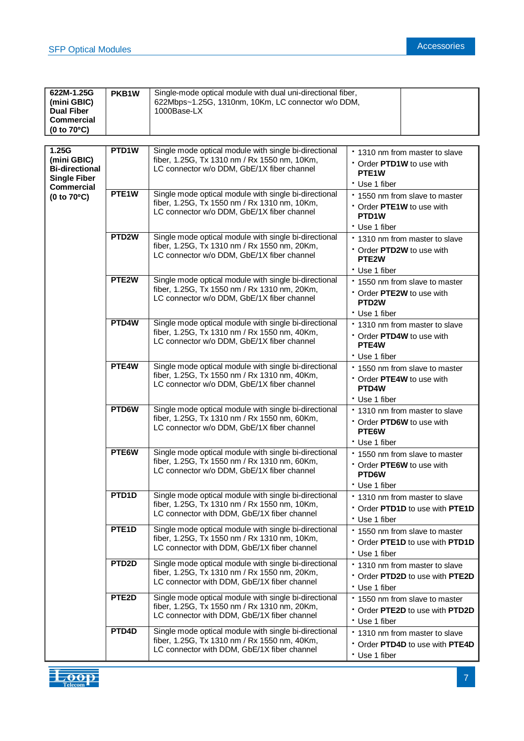| 622M-1.25G<br>(mini GBIC)<br><b>Dual Fiber</b><br><b>Commercial</b><br>(0 to 70°C)        | PKB1W              | Single-mode optical module with dual uni-directional fiber,<br>622Mbps~1.25G, 1310nm, 10Km, LC connector w/o DDM,<br>1000Base-LX                     |                                                                                                  |                                                                 |  |
|-------------------------------------------------------------------------------------------|--------------------|------------------------------------------------------------------------------------------------------------------------------------------------------|--------------------------------------------------------------------------------------------------|-----------------------------------------------------------------|--|
|                                                                                           |                    |                                                                                                                                                      |                                                                                                  |                                                                 |  |
| 1.25G<br>(mini GBIC)<br><b>Bi-directional</b><br><b>Single Fiber</b><br><b>Commercial</b> | PTD1W              | Single mode optical module with single bi-directional<br>fiber, 1.25G, Tx 1310 nm / Rx 1550 nm, 10Km,<br>LC connector w/o DDM, GbE/1X fiber channel  | * 1310 nm from master to slave<br>Order PTD1W to use with<br>PTE <sub>1</sub> W<br>* Use 1 fiber |                                                                 |  |
| (0 to 70°C)                                                                               | PTE <sub>1</sub> W | Single mode optical module with single bi-directional<br>fiber, 1.25G, Tx 1550 nm / Rx 1310 nm, 10Km,<br>LC connector w/o DDM, GbE/1X fiber channel  | Order PTE1W to use with<br>PTD1W<br>* Use 1 fiber                                                | * 1550 nm from slave to master                                  |  |
|                                                                                           | PTD <sub>2</sub> W | Single mode optical module with single bi-directional<br>fiber, 1.25G, Tx 1310 nm / Rx 1550 nm, 20Km,<br>LC connector w/o DDM, GbE/1X fiber channel  | Order PTD2W to use with<br>PTE <sub>2</sub> W<br>* Use 1 fiber                                   | * 1310 nm from master to slave                                  |  |
|                                                                                           | PTE2W              | Single mode optical module with single bi-directional<br>fiber, 1.25G, Tx 1550 nm / Rx 1310 nm, 20Km,<br>LC connector w/o DDM, GbE/1X fiber channel  | Order PTE2W to use with<br>PTD <sub>2</sub> W<br>* Use 1 fiber                                   | * 1550 nm from slave to master                                  |  |
|                                                                                           | PTD4W              | Single mode optical module with single bi-directional<br>fiber, 1.25G, Tx 1310 nm / Rx 1550 nm, 40Km,<br>LC connector w/o DDM, GbE/1X fiber channel  | Order PTD4W to use with<br>PTE4W<br>* Use 1 fiber                                                | * 1310 nm from master to slave                                  |  |
|                                                                                           | PTE4W              | Single mode optical module with single bi-directional<br>fiber, 1.25G, Tx 1550 nm / Rx 1310 nm, 40Km,<br>LC connector w/o DDM, GbE/1X fiber channel  | Order PTE4W to use with<br>PTD <sub>4</sub> W<br>* Use 1 fiber                                   | * 1550 nm from slave to master                                  |  |
|                                                                                           | PTD6W              | Single mode optical module with single bi-directional<br>fiber, 1.25G, Tx 1310 nm / Rx 1550 nm, 60Km,<br>LC connector w/o DDM, GbE/1X fiber channel  | Order PTD6W to use with<br>PTE6W<br>* Use 1 fiber                                                | * 1310 nm from master to slave                                  |  |
|                                                                                           | PTE6W              | Single mode optical module with single bi-directional<br>fiber, 1.25G, Tx 1550 nm / Rx 1310 nm, 60Km,<br>LC connector w/o DDM, GbE/1X fiber channel  | Order PTE6W to use with<br>PTD6W<br>* Use 1 fiber                                                | * 1550 nm from slave to master                                  |  |
|                                                                                           | PTD <sub>1</sub> D | Single mode optical module with single bi-directional<br>fiber, 1.25G, Tx 1310 nm / Rx 1550 nm, 10Km,<br>LC connector with DDM, GbE/1X fiber channel | * Use 1 fiber                                                                                    | 1310 nm from master to slave<br>Order PTD1D to use with PTE1D   |  |
|                                                                                           | PTE <sub>1</sub> D | Single mode optical module with single bi-directional<br>fiber, 1.25G, Tx 1550 nm / Rx 1310 nm, 10Km,<br>LC connector with DDM, GbE/1X fiber channel | * Use 1 fiber                                                                                    | * 1550 nm from slave to master<br>Order PTE1D to use with PTD1D |  |
|                                                                                           | PTD <sub>2</sub> D | Single mode optical module with single bi-directional<br>fiber, 1.25G, Tx 1310 nm / Rx 1550 nm, 20Km,<br>LC connector with DDM, GbE/1X fiber channel | * Use 1 fiber                                                                                    | * 1310 nm from master to slave<br>Order PTD2D to use with PTE2D |  |
|                                                                                           | PTE <sub>2</sub> D | Single mode optical module with single bi-directional<br>fiber, 1.25G, Tx 1550 nm / Rx 1310 nm, 20Km,<br>LC connector with DDM, GbE/1X fiber channel | * Use 1 fiber                                                                                    | * 1550 nm from slave to master<br>Order PTE2D to use with PTD2D |  |
|                                                                                           | PTD4D              | Single mode optical module with single bi-directional<br>fiber, 1.25G, Tx 1310 nm / Rx 1550 nm, 40Km,<br>LC connector with DDM, GbE/1X fiber channel | * Use 1 fiber                                                                                    | * 1310 nm from master to slave<br>Order PTD4D to use with PTE4D |  |

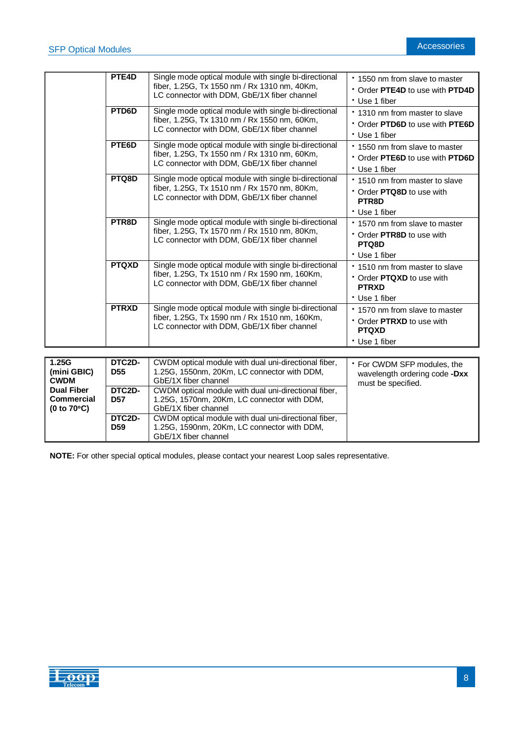|                                                                 | PTE4D                     | Single mode optical module with single bi-directional<br>fiber, 1.25G, Tx 1550 nm / Rx 1310 nm, 40Km,<br>LC connector with DDM, GbE/1X fiber channel  | * 1550 nm from slave to master<br>Order PTE4D to use with PTD4D<br>* Use 1 fiber           |
|-----------------------------------------------------------------|---------------------------|-------------------------------------------------------------------------------------------------------------------------------------------------------|--------------------------------------------------------------------------------------------|
|                                                                 | PTD6D                     | Single mode optical module with single bi-directional<br>fiber, 1.25G, Tx 1310 nm / Rx 1550 nm, 60Km,<br>LC connector with DDM, GbE/1X fiber channel  | * 1310 nm from master to slave<br>Order PTD6D to use with PTE6D<br>* Use 1 fiber           |
|                                                                 | PTE6D                     | Single mode optical module with single bi-directional<br>fiber, 1.25G, Tx 1550 nm / Rx 1310 nm, 60Km,<br>LC connector with DDM, GbE/1X fiber channel  | * 1550 nm from slave to master<br>Order PTE6D to use with PTD6D<br>* Use 1 fiber           |
|                                                                 | PTQ8D                     | Single mode optical module with single bi-directional<br>fiber, 1.25G, Tx 1510 nm / Rx 1570 nm, 80Km,<br>LC connector with DDM, GbE/1X fiber channel  | * 1510 nm from master to slave<br>• Order PTQ8D to use with<br>PTR8D<br>* Use 1 fiber      |
|                                                                 | PTR8D                     | Single mode optical module with single bi-directional<br>fiber, 1.25G, Tx 1570 nm / Rx 1510 nm, 80Km,<br>LC connector with DDM, GbE/1X fiber channel  | * 1570 nm from slave to master<br>Order PTR8D to use with<br>PTQ8D<br>* Use 1 fiber        |
|                                                                 | <b>PTQXD</b>              | Single mode optical module with single bi-directional<br>fiber, 1.25G, Tx 1510 nm / Rx 1590 nm, 160Km,<br>LC connector with DDM, GbE/1X fiber channel | * 1510 nm from master to slave<br>Order PTQXD to use with<br><b>PTRXD</b><br>* Use 1 fiber |
|                                                                 | <b>PTRXD</b>              | Single mode optical module with single bi-directional<br>fiber, 1.25G, Tx 1590 nm / Rx 1510 nm, 160Km,<br>LC connector with DDM, GbE/1X fiber channel | * 1570 nm from slave to master<br>Order PTRXD to use with<br><b>PTQXD</b><br>* Use 1 fiber |
|                                                                 |                           |                                                                                                                                                       |                                                                                            |
| 1.25G<br>(mini GBIC)<br><b>CWDM</b>                             | DTC2D-<br><b>D55</b>      | CWDM optical module with dual uni-directional fiber,<br>1.25G, 1550nm, 20Km, LC connector with DDM,<br>GbE/1X fiber channel                           | * For CWDM SFP modules, the<br>wavelength ordering code -Dxx<br>must be specified.         |
| <b>Dual Fiber</b><br><b>Commercial</b><br>(0 to $70^{\circ}$ C) | DTC2D-<br><b>D57</b>      | CWDM optical module with dual uni-directional fiber,<br>1.25G, 1570nm, 20Km, LC connector with DDM,<br>GbE/1X fiber channel                           |                                                                                            |
|                                                                 | DTC2D-<br>D <sub>59</sub> | CWDM optical module with dual uni-directional fiber,<br>1.25G, 1590nm, 20Km, LC connector with DDM,                                                   |                                                                                            |

**NOTE:** For other special optical modules, please contact your nearest Loop sales representative.

GbE/1X fiber channel

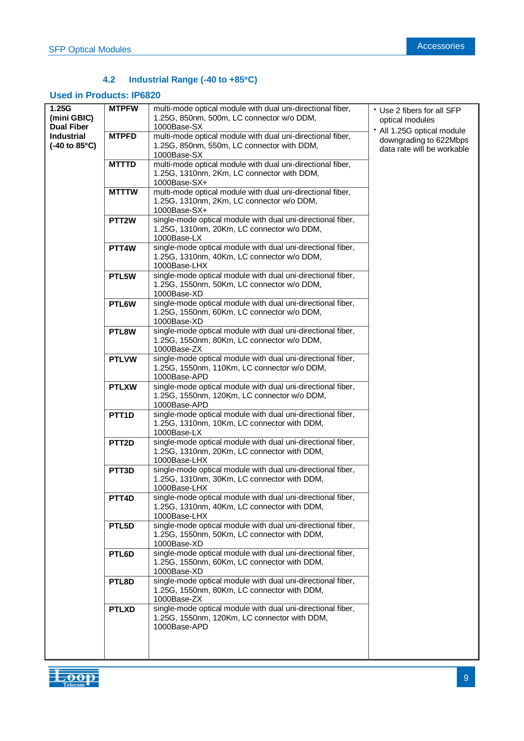# **4.2 Industrial Range (-40 to +85C)**

## **Used in Products: IP6820**

| 1.25G                                  | <b>MTPFW</b>       | multi-mode optical module with dual uni-directional fiber,                                                  | Use 2 fibers for all SFP   |
|----------------------------------------|--------------------|-------------------------------------------------------------------------------------------------------------|----------------------------|
| (mini GBIC)                            |                    | 1.25G, 850nm, 500m, LC connector w/o DDM,                                                                   | optical modules            |
| <b>Dual Fiber</b>                      |                    | 1000Base-SX                                                                                                 | · All 1.25G optical module |
| <b>Industrial</b>                      | <b>MTPFD</b>       | multi-mode optical module with dual uni-directional fiber,                                                  | downgrading to 622Mbps     |
| $(-40 \text{ to } 85^{\circ}\text{C})$ |                    | 1.25G, 850nm, 550m, LC connector with DDM,<br>1000Base-SX                                                   | data rate will be workable |
|                                        | <b>MTTTD</b>       | multi-mode optical module with dual uni-directional fiber,                                                  |                            |
|                                        |                    | 1.25G, 1310nm, 2Km, LC connector with DDM,                                                                  |                            |
|                                        |                    | 1000Base-SX+                                                                                                |                            |
|                                        | <b>MTTTW</b>       | multi-mode optical module with dual uni-directional fiber,                                                  |                            |
|                                        |                    | 1.25G, 1310nm, 2Km, LC connector w/o DDM,                                                                   |                            |
|                                        |                    | 1000Base-SX+                                                                                                |                            |
|                                        | PTT <sub>2</sub> W | single-mode optical module with dual uni-directional fiber,                                                 |                            |
|                                        |                    | 1.25G, 1310nm, 20Km, LC connector w/o DDM,                                                                  |                            |
|                                        |                    | 1000Base-LX<br>single-mode optical module with dual uni-directional fiber,                                  |                            |
|                                        | PTT <sub>4</sub> W | 1.25G, 1310nm, 40Km, LC connector w/o DDM,                                                                  |                            |
|                                        |                    | 1000Base-LHX                                                                                                |                            |
|                                        | PTL5W              | single-mode optical module with dual uni-directional fiber,                                                 |                            |
|                                        |                    | 1.25G, 1550nm, 50Km, LC connector w/o DDM,                                                                  |                            |
|                                        |                    | 1000Base-XD                                                                                                 |                            |
|                                        | PTL6W              | single-mode optical module with dual uni-directional fiber,                                                 |                            |
|                                        |                    | 1.25G, 1550nm, 60Km, LC connector w/o DDM,                                                                  |                            |
|                                        |                    | 1000Base-XD                                                                                                 |                            |
|                                        | PTL8W              | single-mode optical module with dual uni-directional fiber,<br>1.25G, 1550nm, 80Km, LC connector w/o DDM,   |                            |
|                                        |                    | 1000Base-ZX                                                                                                 |                            |
|                                        | <b>PTLVW</b>       | single-mode optical module with dual uni-directional fiber,                                                 |                            |
|                                        |                    | 1.25G, 1550nm, 110Km, LC connector w/o DDM,                                                                 |                            |
|                                        |                    | 1000Base-APD                                                                                                |                            |
|                                        | <b>PTLXW</b>       | single-mode optical module with dual uni-directional fiber,                                                 |                            |
|                                        |                    | 1.25G, 1550nm, 120Km, LC connector w/o DDM,                                                                 |                            |
|                                        |                    | 1000Base-APD                                                                                                |                            |
|                                        | PTT <sub>1</sub> D | single-mode optical module with dual uni-directional fiber,                                                 |                            |
|                                        |                    | 1.25G, 1310nm, 10Km, LC connector with DDM,<br>1000Base-LX                                                  |                            |
|                                        | PTT <sub>2</sub> D | single-mode optical module with dual uni-directional fiber,                                                 |                            |
|                                        |                    | 1.25G, 1310nm, 20Km, LC connector with DDM,                                                                 |                            |
|                                        |                    | 1000Base-LHX                                                                                                |                            |
|                                        | PTT <sub>3</sub> D | single-mode optical module with dual uni-directional fiber,                                                 |                            |
|                                        |                    | 1.25G, 1310nm, 30Km, LC connector with DDM,                                                                 |                            |
|                                        |                    | 1000Base-LHX                                                                                                |                            |
|                                        | PTT4D              | single-mode optical module with dual uni-directional fiber,                                                 |                            |
|                                        |                    | 1.25G, 1310nm, 40Km, LC connector with DDM,<br>1000Base-LHX                                                 |                            |
|                                        | PTL5D              | single-mode optical module with dual uni-directional fiber,                                                 |                            |
|                                        |                    | 1.25G, 1550nm, 50Km, LC connector with DDM,                                                                 |                            |
|                                        |                    | 1000Base-XD                                                                                                 |                            |
|                                        | PTL6D              | single-mode optical module with dual uni-directional fiber,                                                 |                            |
|                                        |                    | 1.25G, 1550nm, 60Km, LC connector with DDM,                                                                 |                            |
|                                        |                    | 1000Base-XD                                                                                                 |                            |
|                                        | PTL8D              | single-mode optical module with dual uni-directional fiber,                                                 |                            |
|                                        |                    | 1.25G, 1550nm, 80Km, LC connector with DDM,                                                                 |                            |
|                                        |                    | 1000Base-ZX                                                                                                 |                            |
|                                        | <b>PTLXD</b>       | single-mode optical module with dual uni-directional fiber,<br>1.25G, 1550nm, 120Km, LC connector with DDM, |                            |
|                                        |                    | 1000Base-APD                                                                                                |                            |
|                                        |                    |                                                                                                             |                            |
|                                        |                    |                                                                                                             |                            |
|                                        |                    |                                                                                                             |                            |

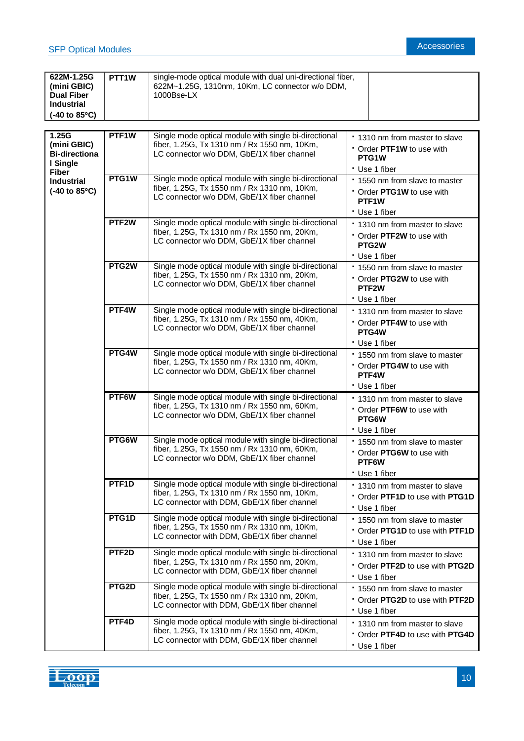| 622M-1.25G<br>(mini GBIC)<br><b>Dual Fiber</b><br><b>Industrial</b><br>$(-40 \text{ to } 85^{\circ}\text{C})$ | PTT <sub>1</sub> W | single-mode optical module with dual uni-directional fiber,<br>622M~1.25G, 1310nm, 10Km, LC connector w/o DDM,<br>1000Bse-LX                         |                                                                                                    |
|---------------------------------------------------------------------------------------------------------------|--------------------|------------------------------------------------------------------------------------------------------------------------------------------------------|----------------------------------------------------------------------------------------------------|
|                                                                                                               |                    |                                                                                                                                                      |                                                                                                    |
| 1.25G<br>(mini GBIC)<br><b>Bi-directiona</b><br>I Single<br><b>Fiber</b>                                      | PTF1W              | Single mode optical module with single bi-directional<br>fiber, 1.25G, Tx 1310 nm / Rx 1550 nm, 10Km,<br>LC connector w/o DDM, GbE/1X fiber channel  | * 1310 nm from master to slave<br>Order PTF1W to use with<br>PTG1W<br>* Use 1 fiber                |
| <b>Industrial</b><br>$(-40 \text{ to } 85^{\circ}\text{C})$                                                   | PTG1W              | Single mode optical module with single bi-directional<br>fiber, 1.25G, Tx 1550 nm / Rx 1310 nm, 10Km,<br>LC connector w/o DDM, GbE/1X fiber channel  | * 1550 nm from slave to master<br>• Order PTG1W to use with<br>PTF <sub>1</sub> W<br>* Use 1 fiber |
|                                                                                                               | PTF <sub>2</sub> W | Single mode optical module with single bi-directional<br>fiber, 1.25G, Tx 1310 nm / Rx 1550 nm, 20Km,<br>LC connector w/o DDM, GbE/1X fiber channel  | * 1310 nm from master to slave<br>Order PTF2W to use with<br>PTG2W<br>* Use 1 fiber                |
|                                                                                                               | PTG2W              | Single mode optical module with single bi-directional<br>fiber, 1.25G, Tx 1550 nm / Rx 1310 nm, 20Km,<br>LC connector w/o DDM, GbE/1X fiber channel  | * 1550 nm from slave to master<br>• Order PTG2W to use with<br>PTF <sub>2</sub> W<br>* Use 1 fiber |
|                                                                                                               | PTF4W              | Single mode optical module with single bi-directional<br>fiber, 1.25G, Tx 1310 nm / Rx 1550 nm, 40Km,<br>LC connector w/o DDM, GbE/1X fiber channel  | . 1310 nm from master to slave<br>* Order PTF4W to use with<br>PTG4W<br>* Use 1 fiber              |
|                                                                                                               | PTG4W              | Single mode optical module with single bi-directional<br>fiber, 1.25G, Tx 1550 nm / Rx 1310 nm, 40Km,<br>LC connector w/o DDM, GbE/1X fiber channel  | * 1550 nm from slave to master<br>Order PTG4W to use with<br>PTF4W<br>* Use 1 fiber                |
|                                                                                                               | PTF6W              | Single mode optical module with single bi-directional<br>fiber, 1.25G, Tx 1310 nm / Rx 1550 nm, 60Km,<br>LC connector w/o DDM, GbE/1X fiber channel  | . 1310 nm from master to slave<br>Order PTF6W to use with<br>PTG6W<br>* Use 1 fiber                |
|                                                                                                               | PTG6W              | Single mode optical module with single bi-directional<br>fiber, 1.25G, Tx 1550 nm / Rx 1310 nm, 60Km,<br>LC connector w/o DDM, GbE/1X fiber channel  | * 1550 nm from slave to master<br>Order PTG6W to use with<br>PTF6W<br>* Use 1 fiber                |
|                                                                                                               | PTF <sub>1</sub> D | Single mode optical module with single bi-directional<br>fiber, 1.25G, Tx 1310 nm / Rx 1550 nm, 10Km,<br>LC connector with DDM, GbE/1X fiber channel | * 1310 nm from master to slave<br>Order PTF1D to use with PTG1D<br>* Use 1 fiber                   |
|                                                                                                               | PTG1D              | Single mode optical module with single bi-directional<br>fiber, 1.25G, Tx 1550 nm / Rx 1310 nm, 10Km,<br>LC connector with DDM, GbE/1X fiber channel | * 1550 nm from slave to master<br>Order PTG1D to use with PTF1D<br>* Use 1 fiber                   |
|                                                                                                               | PTF <sub>2</sub> D | Single mode optical module with single bi-directional<br>fiber, 1.25G, Tx 1310 nm / Rx 1550 nm, 20Km,<br>LC connector with DDM, GbE/1X fiber channel | * 1310 nm from master to slave<br>Order PTF2D to use with PTG2D<br>* Use 1 fiber                   |
|                                                                                                               | PTG2D              | Single mode optical module with single bi-directional<br>fiber, 1.25G, Tx 1550 nm / Rx 1310 nm, 20Km,<br>LC connector with DDM, GbE/1X fiber channel | * 1550 nm from slave to master<br>Order PTG2D to use with PTF2D<br>* Use 1 fiber                   |
|                                                                                                               | PTF4D              | Single mode optical module with single bi-directional<br>fiber, 1.25G, Tx 1310 nm / Rx 1550 nm, 40Km,<br>LC connector with DDM, GbE/1X fiber channel | . 1310 nm from master to slave<br>Order PTF4D to use with PTG4D<br>* Use 1 fiber                   |

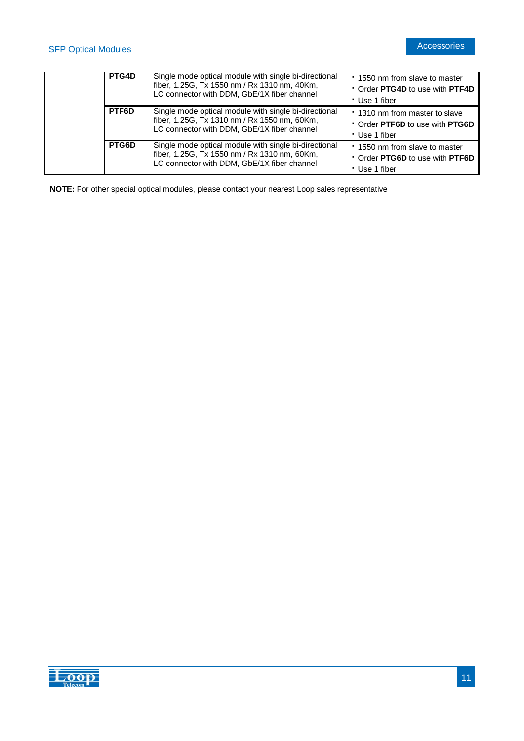| PTG4D | Single mode optical module with single bi-directional<br>fiber, 1.25G, Tx 1550 nm / Rx 1310 nm, 40Km,<br>LC connector with DDM, GbE/1X fiber channel | *1550 nm from slave to master<br>• Order PTG4D to use with PTF4D<br>* Use 1 fiber  |
|-------|------------------------------------------------------------------------------------------------------------------------------------------------------|------------------------------------------------------------------------------------|
| PTF6D | Single mode optical module with single bi-directional<br>fiber, 1.25G, Tx 1310 nm / Rx 1550 nm, 60Km,<br>LC connector with DDM, GbE/1X fiber channel | * 1310 nm from master to slave<br>• Order PTF6D to use with PTG6D<br>• Use 1 fiber |
| PTG6D | Single mode optical module with single bi-directional<br>fiber, 1.25G, Tx 1550 nm / Rx 1310 nm, 60Km,<br>LC connector with DDM, GbE/1X fiber channel | * 1550 nm from slave to master<br>• Order PTG6D to use with PTF6D<br>• Use 1 fiber |

**NOTE:** For other special optical modules, please contact your nearest Loop sales representative

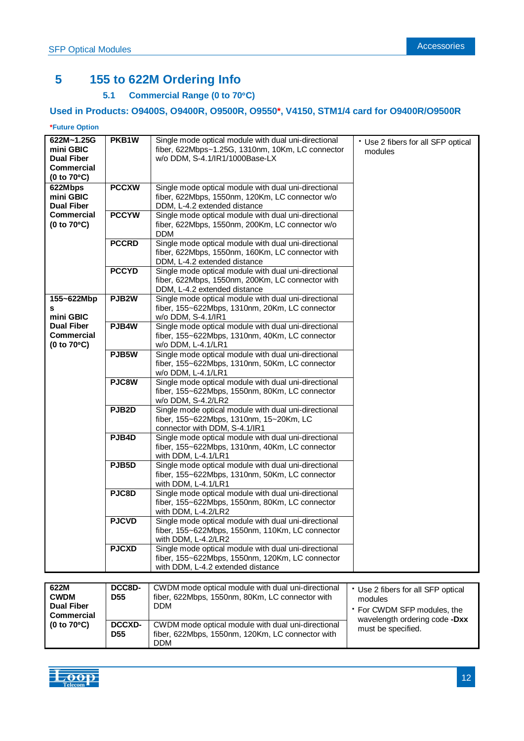# **5 155 to 622M Ordering Info**

# **5.1 Commercial Range (0 to 70C)**

# **Used in Products: O9400S, O9400R, O9500R, O9550\*, V4150, STM1/4 card for O9400R/O9500R**

#### **\*Future Option**

| 622M~1.25G            | PKB1W         | Single mode optical module with dual uni-directional | * Use 2 fibers for all SFP optical |
|-----------------------|---------------|------------------------------------------------------|------------------------------------|
| mini GBIC             |               | fiber, 622Mbps~1.25G, 1310nm, 10Km, LC connector     | modules                            |
| <b>Dual Fiber</b>     |               | w/o DDM, S-4.1/IR1/1000Base-LX                       |                                    |
| <b>Commercial</b>     |               |                                                      |                                    |
|                       |               |                                                      |                                    |
| (0 to $70^{\circ}$ C) |               |                                                      |                                    |
| 622Mbps               | <b>PCCXW</b>  | Single mode optical module with dual uni-directional |                                    |
| mini GBIC             |               | fiber, 622Mbps, 1550nm, 120Km, LC connector w/o      |                                    |
| <b>Dual Fiber</b>     |               | DDM, L-4.2 extended distance                         |                                    |
|                       |               |                                                      |                                    |
| <b>Commercial</b>     | <b>PCCYW</b>  | Single mode optical module with dual uni-directional |                                    |
| (0 to $70^{\circ}$ C) |               | fiber, 622Mbps, 1550nm, 200Km, LC connector w/o      |                                    |
|                       |               | <b>DDM</b>                                           |                                    |
|                       | <b>PCCRD</b>  | Single mode optical module with dual uni-directional |                                    |
|                       |               | fiber, 622Mbps, 1550nm, 160Km, LC connector with     |                                    |
|                       |               |                                                      |                                    |
|                       |               | DDM, L-4.2 extended distance                         |                                    |
|                       | <b>PCCYD</b>  | Single mode optical module with dual uni-directional |                                    |
|                       |               | fiber, 622Mbps, 1550nm, 200Km, LC connector with     |                                    |
|                       |               | DDM, L-4.2 extended distance                         |                                    |
| 155~622Mbp            | PJB2W         | Single mode optical module with dual uni-directional |                                    |
|                       |               |                                                      |                                    |
| s                     |               | fiber, 155~622Mbps, 1310nm, 20Km, LC connector       |                                    |
| mini GBIC             |               | w/o DDM, S-4.1/IR1                                   |                                    |
| <b>Dual Fiber</b>     | PJB4W         | Single mode optical module with dual uni-directional |                                    |
| <b>Commercial</b>     |               | fiber, 155~622Mbps, 1310nm, 40Km, LC connector       |                                    |
| (0 to $70^{\circ}$ C) |               | w/o DDM, L-4.1/LR1                                   |                                    |
|                       | PJB5W         | Single mode optical module with dual uni-directional |                                    |
|                       |               |                                                      |                                    |
|                       |               | fiber, 155~622Mbps, 1310nm, 50Km, LC connector       |                                    |
|                       |               | w/o DDM, L-4.1/LR1                                   |                                    |
|                       | PJC8W         | Single mode optical module with dual uni-directional |                                    |
|                       |               | fiber, 155~622Mbps, 1550nm, 80Km, LC connector       |                                    |
|                       |               | w/o DDM, S-4.2/LR2                                   |                                    |
|                       | PJB2D         | Single mode optical module with dual uni-directional |                                    |
|                       |               |                                                      |                                    |
|                       |               | fiber, 155~622Mbps, 1310nm, 15~20Km, LC              |                                    |
|                       |               | connector with DDM, S-4.1/IR1                        |                                    |
|                       | PJB4D         | Single mode optical module with dual uni-directional |                                    |
|                       |               | fiber, 155~622Mbps, 1310nm, 40Km, LC connector       |                                    |
|                       |               | with DDM, L-4.1/LR1                                  |                                    |
|                       | PJB5D         | Single mode optical module with dual uni-directional |                                    |
|                       |               |                                                      |                                    |
|                       |               | fiber, 155~622Mbps, 1310nm, 50Km, LC connector       |                                    |
|                       |               | with DDM, L-4.1/LR1                                  |                                    |
|                       | PJC8D         | Single mode optical module with dual uni-directional |                                    |
|                       |               | fiber, 155~622Mbps, 1550nm, 80Km, LC connector       |                                    |
|                       |               | with DDM, L-4.2/LR2                                  |                                    |
|                       | <b>PJCVD</b>  | Single mode optical module with dual uni-directional |                                    |
|                       |               |                                                      |                                    |
|                       |               | fiber, 155~622Mbps, 1550nm, 110Km, LC connector      |                                    |
|                       |               | with DDM, L-4.2/LR2                                  |                                    |
|                       | <b>PJCXD</b>  | Single mode optical module with dual uni-directional |                                    |
|                       |               | fiber, 155~622Mbps, 1550nm, 120Km, LC connector      |                                    |
|                       |               | with DDM, L-4.2 extended distance                    |                                    |
|                       |               |                                                      |                                    |
|                       |               |                                                      |                                    |
| 622M                  | DCC8D-        | CWDM mode optical module with dual uni-directional   | * Use 2 fibers for all SFP optical |
| <b>CWDM</b>           | <b>D55</b>    | fiber, 622Mbps, 1550nm, 80Km, LC connector with      | modules                            |
| <b>Dual Fiber</b>     |               | <b>DDM</b>                                           | * For CWDM SFP modules, the        |
| Commercial            |               |                                                      |                                    |
| (0 to 70°C)           | <b>DCCXD-</b> | CWDM mode optical module with dual uni-directional   | wavelength ordering code -Dxx      |
|                       | <b>D55</b>    | fiber, 622Mbps, 1550nm, 120Km, LC connector with     | must be specified.                 |
|                       |               |                                                      |                                    |
|                       |               | <b>DDM</b>                                           |                                    |

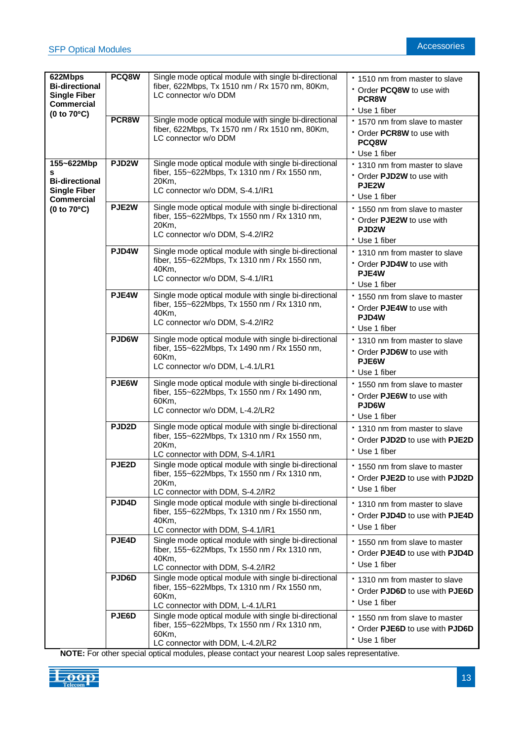| 622Mbps<br><b>Bi-directional</b><br><b>Single Fiber</b><br><b>Commercial</b>         | PCQ8W              | Single mode optical module with single bi-directional<br>fiber, 622Mbps, Tx 1510 nm / Rx 1570 nm, 80Km,<br>LC connector w/o DDM                    | * 1510 nm from master to slave<br>• Order <b>PCQ8W</b> to use with<br>PCR8W                        |
|--------------------------------------------------------------------------------------|--------------------|----------------------------------------------------------------------------------------------------------------------------------------------------|----------------------------------------------------------------------------------------------------|
|                                                                                      |                    |                                                                                                                                                    | * Use 1 fiber                                                                                      |
| (0 to $70^{\circ}$ C)                                                                | PCR8W              | Single mode optical module with single bi-directional<br>fiber, 622Mbps, Tx 1570 nm / Rx 1510 nm, 80Km,<br>LC connector w/o DDM                    | * 1570 nm from slave to master<br>Order PCR8W to use with<br>PCQ8W                                 |
|                                                                                      |                    |                                                                                                                                                    | * Use 1 fiber                                                                                      |
| 155~622Mbp<br>s<br><b>Bi-directional</b><br><b>Single Fiber</b><br><b>Commercial</b> | PJD <sub>2</sub> W | Single mode optical module with single bi-directional<br>fiber, 155~622Mbps, Tx 1310 nm / Rx 1550 nm,<br>20Km,<br>LC connector w/o DDM, S-4.1/IR1  | * 1310 nm from master to slave<br>Order PJD2W to use with<br>PJE <sub>2</sub> W<br>* Use 1 fiber   |
| $(0 to 70^{\circ}C)$                                                                 | PJE2W              | Single mode optical module with single bi-directional<br>fiber, 155~622Mbps, Tx 1550 nm / Rx 1310 nm,<br>20Km,<br>LC connector w/o DDM, S-4.2/IR2  | * 1550 nm from slave to master<br>* Order PJE2W to use with<br>PJD <sub>2</sub> W<br>* Use 1 fiber |
|                                                                                      | PJD4W              | Single mode optical module with single bi-directional<br>fiber, 155~622Mbps, Tx 1310 nm / Rx 1550 nm,<br>40Km,<br>LC connector w/o DDM, S-4.1/IR1  | * 1310 nm from master to slave<br>* Order PJD4W to use with<br>PJE4W<br>* Use 1 fiber              |
|                                                                                      | PJE4W              | Single mode optical module with single bi-directional<br>fiber, 155~622Mbps, Tx 1550 nm / Rx 1310 nm,<br>40Km,<br>LC connector w/o DDM, S-4.2/IR2  | * 1550 nm from slave to master<br>• Order PJE4W to use with<br>PJD4W<br>* Use 1 fiber              |
|                                                                                      | PJD6W              | Single mode optical module with single bi-directional<br>fiber, 155~622Mbps, Tx 1490 nm / Rx 1550 nm,<br>60Km,<br>LC connector w/o DDM, L-4.1/LR1  | * 1310 nm from master to slave<br>• Order PJD6W to use with<br>PJE6W<br>* Use 1 fiber              |
|                                                                                      | PJE6W              | Single mode optical module with single bi-directional<br>fiber, 155~622Mbps, Tx 1550 nm / Rx 1490 nm,<br>60Km,<br>LC connector w/o DDM, L-4.2/LR2  | * 1550 nm from slave to master<br>* Order PJE6W to use with<br>PJD6W<br>* Use 1 fiber              |
|                                                                                      | PJD <sub>2</sub> D | Single mode optical module with single bi-directional<br>fiber, 155~622Mbps, Tx 1310 nm / Rx 1550 nm,<br>20Km,<br>LC connector with DDM, S-4.1/IR1 | * 1310 nm from master to slave<br>Order PJD2D to use with PJE2D<br>* Use 1 fiber                   |
|                                                                                      | PJE2D              | Single mode optical module with single bi-directional<br>fiber, 155~622Mbps, Tx 1550 nm / Rx 1310 nm,<br>20Km,<br>LC connector with DDM, S-4.2/IR2 | 1550 nm from slave to master<br>Order PJE2D to use with PJD2D<br>* Use 1 fiber                     |
|                                                                                      | PJD <sub>4</sub> D | Single mode optical module with single bi-directional<br>fiber, 155~622Mbps, Tx 1310 nm / Rx 1550 nm,<br>40Km,<br>LC connector with DDM, S-4.1/IR1 | . 1310 nm from master to slave<br>Order PJD4D to use with PJE4D<br>* Use 1 fiber                   |
|                                                                                      | PJE4D              | Single mode optical module with single bi-directional<br>fiber, 155~622Mbps, Tx 1550 nm / Rx 1310 nm,<br>40Km,<br>LC connector with DDM, S-4.2/IR2 | * 1550 nm from slave to master<br>* Order PJE4D to use with PJD4D<br>* Use 1 fiber                 |
|                                                                                      | PJD6D              | Single mode optical module with single bi-directional<br>fiber, 155~622Mbps, Tx 1310 nm / Rx 1550 nm,<br>60Km,<br>LC connector with DDM, L-4.1/LR1 | . 1310 nm from master to slave<br>Order PJD6D to use with PJE6D<br>* Use 1 fiber                   |
|                                                                                      | <b>PJE6D</b>       | Single mode optical module with single bi-directional<br>fiber, 155~622Mbps, Tx 1550 nm / Rx 1310 nm,<br>60Km,<br>LC connector with DDM, L-4.2/LR2 | * 1550 nm from slave to master<br>Order PJE6D to use with PJD6D<br>* Use 1 fiber                   |

**NOTE:** For other special optical modules, please contact your nearest Loop sales representative.

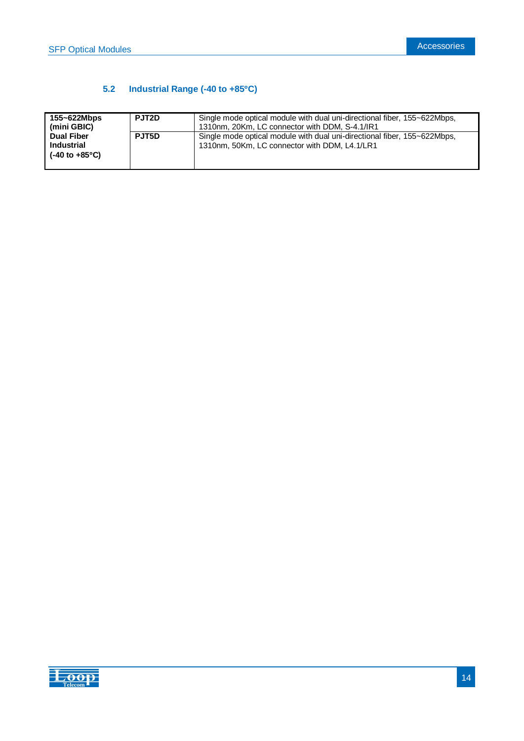# **5.2 Industrial Range (-40 to +85C)**

| 155~622Mbps<br>  (mini GBIC)                    | PJT <sub>2</sub> D | Single mode optical module with dual uni-directional fiber, 155~622Mbps,<br>1310nm, 20Km, LC connector with DDM, S-4.1/IR1 |
|-------------------------------------------------|--------------------|----------------------------------------------------------------------------------------------------------------------------|
| Dual Fiber<br>l Industrial<br>I (-40 to +85°C). | PJT5D              | Single mode optical module with dual uni-directional fiber, 155~622Mbps,<br>1310nm, 50Km, LC connector with DDM, L4.1/LR1  |

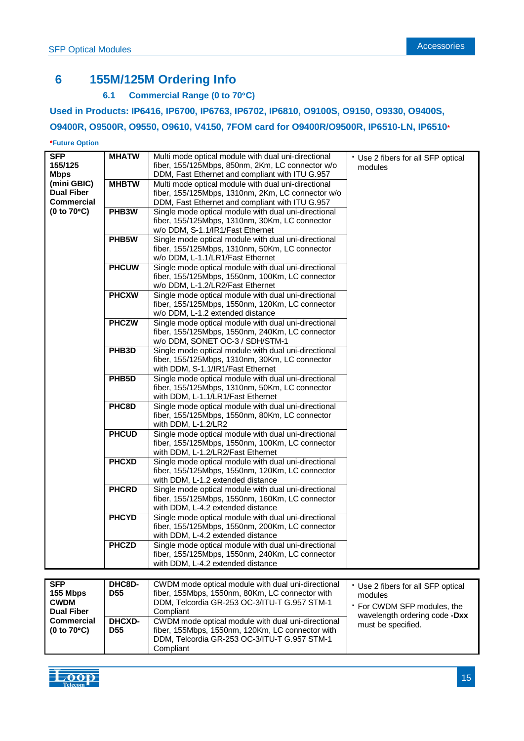# **6 155M/125M Ordering Info**

### **6.1 Commercial Range (0 to 70C)**

### **Used in Products: IP6416, IP6700, IP6763, IP6702, IP6810, O9100S, O9150, O9330, O9400S,**

### **O9400R, O9500R, O9550, O9610, V4150, 7FOM card for O9400R/O9500R, IP6510-LN, IP6510\***

#### **\*Future Option**

| SFP.                             | <b>MHATW</b>       | Multi mode optical module with dual uni-directional  | * Use 2 fibers for all SFP optical |
|----------------------------------|--------------------|------------------------------------------------------|------------------------------------|
| 155/125                          |                    | fiber, 155/125Mbps, 850nm, 2Km, LC connector w/o     | modules                            |
| <b>Mbps</b>                      |                    | DDM, Fast Ethernet and compliant with ITU G.957      |                                    |
| (mini GBIC)                      | <b>MHBTW</b>       | Multi mode optical module with dual uni-directional  |                                    |
| <b>Dual Fiber</b>                |                    | fiber, 155/125Mbps, 1310nm, 2Km, LC connector w/o    |                                    |
| <b>Commercial</b>                |                    | DDM, Fast Ethernet and compliant with ITU G.957      |                                    |
| $(0 to 70^{\circ}C)$             | PHB <sub>3</sub> W | Single mode optical module with dual uni-directional |                                    |
|                                  |                    | fiber, 155/125Mbps, 1310nm, 30Km, LC connector       |                                    |
|                                  |                    | w/o DDM, S-1.1/IR1/Fast Ethernet                     |                                    |
|                                  | PHB5W              | Single mode optical module with dual uni-directional |                                    |
|                                  |                    | fiber, 155/125Mbps, 1310nm, 50Km, LC connector       |                                    |
|                                  |                    |                                                      |                                    |
|                                  |                    | w/o DDM, L-1.1/LR1/Fast Ethernet                     |                                    |
|                                  | <b>PHCUW</b>       | Single mode optical module with dual uni-directional |                                    |
|                                  |                    | fiber, 155/125Mbps, 1550nm, 100Km, LC connector      |                                    |
|                                  |                    | w/o DDM, L-1.2/LR2/Fast Ethernet                     |                                    |
|                                  | <b>PHCXW</b>       | Single mode optical module with dual uni-directional |                                    |
|                                  |                    | fiber, 155/125Mbps, 1550nm, 120Km, LC connector      |                                    |
|                                  |                    | w/o DDM, L-1.2 extended distance                     |                                    |
|                                  | <b>PHCZW</b>       | Single mode optical module with dual uni-directional |                                    |
|                                  |                    | fiber, 155/125Mbps, 1550nm, 240Km, LC connector      |                                    |
|                                  |                    | w/o DDM, SONET OC-3 / SDH/STM-1                      |                                    |
|                                  | PHB <sub>3</sub> D | Single mode optical module with dual uni-directional |                                    |
|                                  |                    | fiber, 155/125Mbps, 1310nm, 30Km, LC connector       |                                    |
|                                  |                    |                                                      |                                    |
|                                  |                    | with DDM, S-1.1/IR1/Fast Ethernet                    |                                    |
|                                  | PHB <sub>5</sub> D | Single mode optical module with dual uni-directional |                                    |
|                                  |                    | fiber, 155/125Mbps, 1310nm, 50Km, LC connector       |                                    |
|                                  |                    | with DDM, L-1.1/LR1/Fast Ethernet                    |                                    |
|                                  | PHC8D              | Single mode optical module with dual uni-directional |                                    |
|                                  |                    | fiber, 155/125Mbps, 1550nm, 80Km, LC connector       |                                    |
|                                  |                    | with DDM, L-1.2/LR2                                  |                                    |
|                                  | <b>PHCUD</b>       | Single mode optical module with dual uni-directional |                                    |
|                                  |                    | fiber, 155/125Mbps, 1550nm, 100Km, LC connector      |                                    |
|                                  |                    | with DDM, L-1.2/LR2/Fast Ethernet                    |                                    |
|                                  | <b>PHCXD</b>       | Single mode optical module with dual uni-directional |                                    |
|                                  |                    | fiber, 155/125Mbps, 1550nm, 120Km, LC connector      |                                    |
|                                  |                    | with DDM, L-1.2 extended distance                    |                                    |
|                                  | <b>PHCRD</b>       | Single mode optical module with dual uni-directional |                                    |
|                                  |                    |                                                      |                                    |
|                                  |                    | fiber, 155/125Mbps, 1550nm, 160Km, LC connector      |                                    |
|                                  |                    | with DDM, L-4.2 extended distance                    |                                    |
|                                  | <b>PHCYD</b>       | Single mode optical module with dual uni-directional |                                    |
|                                  |                    | fiber, 155/125Mbps, 1550nm, 200Km, LC connector      |                                    |
|                                  |                    | with DDM, L-4.2 extended distance                    |                                    |
|                                  | <b>PHCZD</b>       | Single mode optical module with dual uni-directional |                                    |
|                                  |                    | fiber, 155/125Mbps, 1550nm, 240Km, LC connector      |                                    |
|                                  |                    | with DDM, L-4.2 extended distance                    |                                    |
|                                  |                    |                                                      |                                    |
| <b>SFP</b>                       | DHC8D-             | CWDM mode optical module with dual uni-directional   |                                    |
| 155 Mbps                         | <b>D55</b>         | fiber, 155Mbps, 1550nm, 80Km, LC connector with      | * Use 2 fibers for all SFP optical |
|                                  |                    |                                                      | modules                            |
| <b>CWDM</b><br><b>Dual Fiber</b> |                    | DDM, Telcordia GR-253 OC-3/ITU-T G.957 STM-1         | * For CWDM SFP modules, the        |
|                                  |                    | Compliant                                            | wavelength ordering code -Dxx      |
| <b>Commercial</b>                | <b>DHCXD-</b>      | CWDM mode optical module with dual uni-directional   | must be specified.                 |
| $(0 to 70^{\circ}C)$             | <b>D55</b>         | fiber, 155Mbps, 1550nm, 120Km, LC connector with     |                                    |
|                                  |                    | DDM, Telcordia GR-253 OC-3/ITU-T G.957 STM-1         |                                    |



Compliant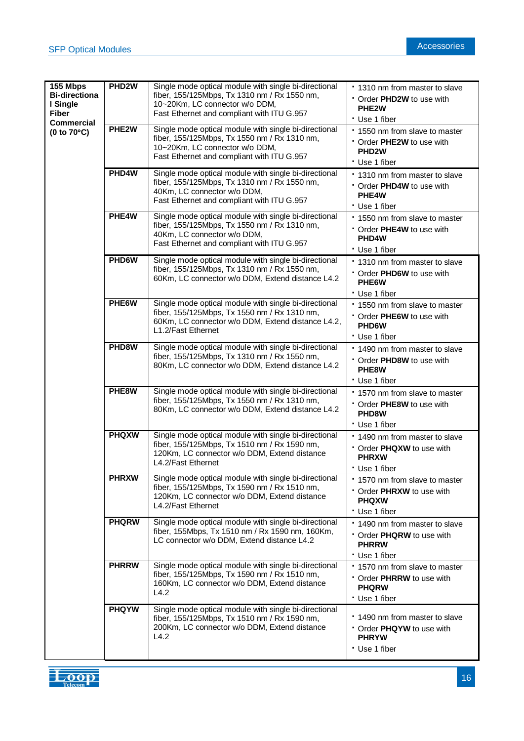| 155 Mbps<br><b>Bi-directiona</b><br>I Single<br><b>Fiber</b> | PHD <sub>2</sub> W | Single mode optical module with single bi-directional<br>fiber, 155/125Mbps, Tx 1310 nm / Rx 1550 nm,<br>10~20Km, LC connector w/o DDM,<br>Fast Ethernet and compliant with ITU G.957 | * 1310 nm from master to slave<br>Order PHD2W to use with<br>PHE <sub>2</sub> W<br>* Use 1 fiber   |
|--------------------------------------------------------------|--------------------|---------------------------------------------------------------------------------------------------------------------------------------------------------------------------------------|----------------------------------------------------------------------------------------------------|
| <b>Commercial</b><br>$(0 to 70^{\circ}C)$                    | PHE <sub>2</sub> W | Single mode optical module with single bi-directional<br>fiber, 155/125Mbps, Tx 1550 nm / Rx 1310 nm,<br>10~20Km, LC connector w/o DDM,<br>Fast Ethernet and compliant with ITU G.957 | * 1550 nm from slave to master<br>Order PHE2W to use with<br>PHD <sub>2</sub> W<br>* Use 1 fiber   |
|                                                              | PHD4W              | Single mode optical module with single bi-directional<br>fiber, 155/125Mbps, Tx 1310 nm / Rx 1550 nm,<br>40Km, LC connector w/o DDM,<br>Fast Ethernet and compliant with ITU G.957    | . 1310 nm from master to slave<br>* Order PHD4W to use with<br>PHE4W<br>* Use 1 fiber              |
|                                                              | PHE4W              | Single mode optical module with single bi-directional<br>fiber, 155/125Mbps, Tx 1550 nm / Rx 1310 nm,<br>40Km, LC connector w/o DDM,<br>Fast Ethernet and compliant with ITU G.957    | * 1550 nm from slave to master<br>• Order PHE4W to use with<br>PHD <sub>4</sub> W<br>* Use 1 fiber |
|                                                              | PHD6W              | Single mode optical module with single bi-directional<br>fiber, 155/125Mbps, Tx 1310 nm / Rx 1550 nm,<br>60Km, LC connector w/o DDM, Extend distance L4.2                             | * 1310 nm from master to slave<br>Order PHD6W to use with<br>PHE6W<br>* Use 1 fiber                |
|                                                              | PHE6W              | Single mode optical module with single bi-directional<br>fiber, 155/125Mbps, Tx 1550 nm / Rx 1310 nm,<br>60Km, LC connector w/o DDM, Extend distance L4.2,<br>L1.2/Fast Ethernet      | * 1550 nm from slave to master<br>Order PHE6W to use with<br>PHD6W<br>* Use 1 fiber                |
|                                                              | PHD8W              | Single mode optical module with single bi-directional<br>fiber, 155/125Mbps, Tx 1310 nm / Rx 1550 nm,<br>80Km, LC connector w/o DDM, Extend distance L4.2                             | * 1490 nm from master to slave<br>Order PHD8W to use with<br>PHE8W<br>* Use 1 fiber                |
|                                                              | PHE8W              | Single mode optical module with single bi-directional<br>fiber, 155/125Mbps, Tx 1550 nm / Rx 1310 nm,<br>80Km, LC connector w/o DDM, Extend distance L4.2                             | * 1570 nm from slave to master<br>• Order PHE8W to use with<br>PHD8W<br>* Use 1 fiber              |
|                                                              | <b>PHQXW</b>       | Single mode optical module with single bi-directional<br>fiber, 155/125Mbps, Tx 1510 nm / Rx 1590 nm,<br>120Km, LC connector w/o DDM, Extend distance<br>L4.2/Fast Ethernet           | 1490 nm from master to slave<br>• Order PHQXW to use with<br><b>PHRXW</b><br>* Use 1 fiber         |
|                                                              | <b>PHRXW</b>       | Single mode optical module with single bi-directional<br>fiber, 155/125Mbps, Tx 1590 nm / Rx 1510 nm,<br>120Km, LC connector w/o DDM, Extend distance<br>L4.2/Fast Ethernet           | * 1570 nm from slave to master<br>Order PHRXW to use with<br><b>PHQXW</b><br>* Use 1 fiber         |
|                                                              | <b>PHQRW</b>       | Single mode optical module with single bi-directional<br>fiber, 155Mbps, Tx 1510 nm / Rx 1590 nm, 160Km,<br>LC connector w/o DDM, Extend distance L4.2                                | * 1490 nm from master to slave<br>Order PHQRW to use with<br><b>PHRRW</b><br>* Use 1 fiber         |
|                                                              | <b>PHRRW</b>       | Single mode optical module with single bi-directional<br>fiber, 155/125Mbps, Tx 1590 nm / Rx 1510 nm,<br>160Km, LC connector w/o DDM, Extend distance<br>L4.2                         | * 1570 nm from slave to master<br>* Order PHRRW to use with<br><b>PHQRW</b><br>* Use 1 fiber       |
|                                                              | <b>PHQYW</b>       | Single mode optical module with single bi-directional<br>fiber, 155/125Mbps, Tx 1510 nm / Rx 1590 nm,<br>200Km, LC connector w/o DDM, Extend distance<br>L4.2                         | . 1490 nm from master to slave<br>• Order PHQYW to use with<br><b>PHRYW</b><br>* Use 1 fiber       |

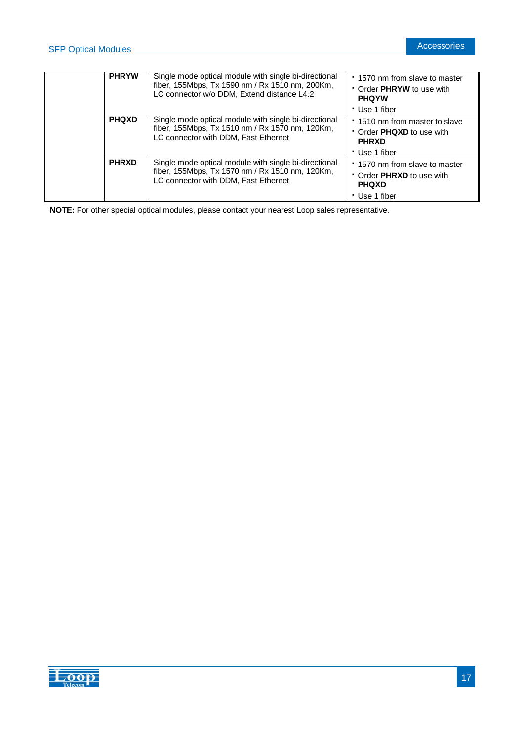| <b>PHRYW</b> | Single mode optical module with single bi-directional<br>fiber, 155Mbps, Tx 1590 nm / Rx 1510 nm, 200Km,<br>LC connector w/o DDM, Extend distance L4.2 | 1570 nm from slave to master<br>• Order PHRYW to use with<br><b>PHOYW</b> |
|--------------|--------------------------------------------------------------------------------------------------------------------------------------------------------|---------------------------------------------------------------------------|
|              |                                                                                                                                                        | * Use 1 fiber                                                             |
| <b>PHQXD</b> | Single mode optical module with single bi-directional                                                                                                  | * 1510 nm from master to slave                                            |
|              | fiber, 155Mbps, Tx 1510 nm / Rx 1570 nm, 120Km,<br>LC connector with DDM, Fast Ethernet                                                                | • Order <b>PHQXD</b> to use with<br><b>PHRXD</b>                          |
|              |                                                                                                                                                        | * Use 1 fiber                                                             |
| <b>PHRXD</b> | Single mode optical module with single bi-directional                                                                                                  | 1570 nm from slave to master                                              |
|              | fiber, 155Mbps, Tx 1570 nm / Rx 1510 nm, 120Km,<br>LC connector with DDM, Fast Ethernet                                                                | • Order PHRXD to use with<br><b>PHQXD</b>                                 |
|              |                                                                                                                                                        | * Use 1 fiber                                                             |

**NOTE:** For other special optical modules, please contact your nearest Loop sales representative.